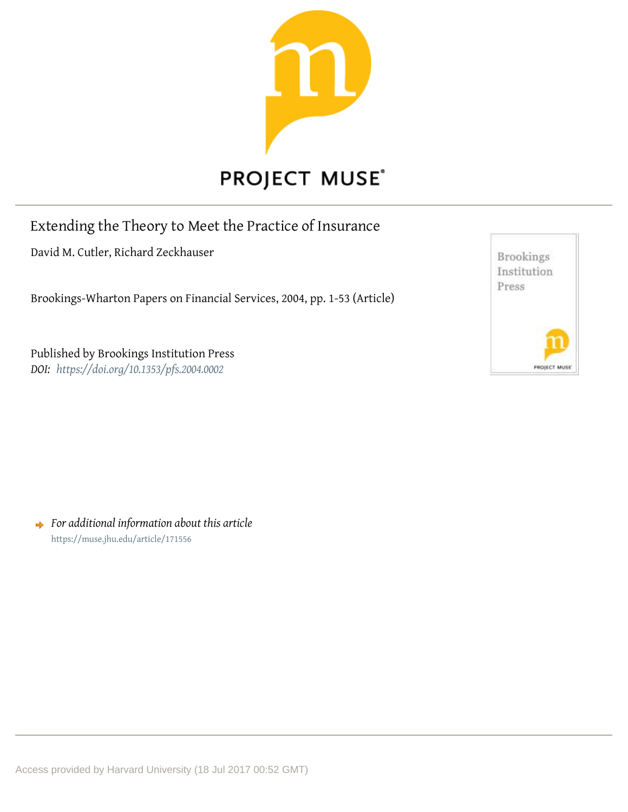

# Extending the Theory to Meet the Practice of Insurance

David M. Cutler, Richard Zeckhauser

Brookings-Wharton Papers on Financial Services, 2004, pp. 1-53 (Article)

Published by Brookings Institution Press *DOI: <https://doi.org/10.1353/pfs.2004.0002>*



*For additional information about this article* <https://muse.jhu.edu/article/171556>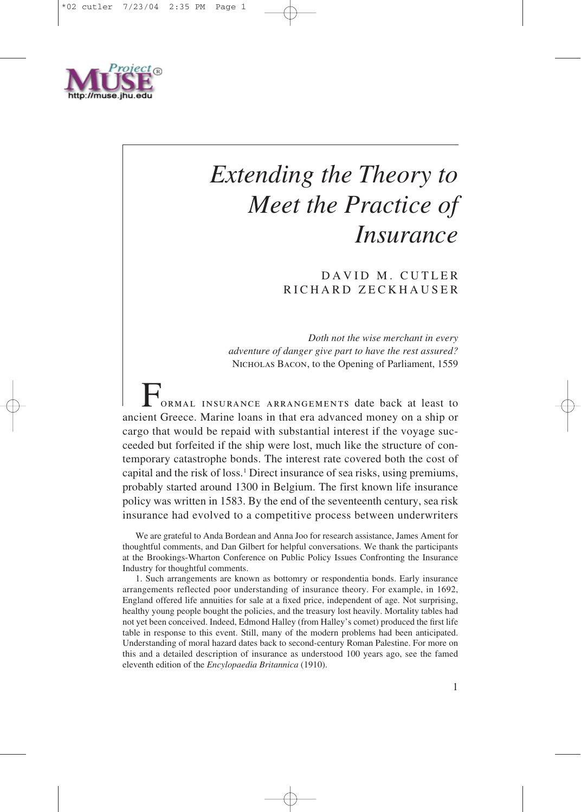

## *Extending the Theory to Meet the Practice of Insurance*

DAVID M. CUTLER RICHARD ZECKHAUSER

*Doth not the wise merchant in every adventure of danger give part to have the rest assured?*  NICHOLAS BACON, to the Opening of Parliament, 1559

FORMAL INSURANCE ARRANGEMENTS date back at least to ancient Greece. Marine loans in that era advanced money on a ship or cargo that would be repaid with substantial interest if the voyage succeeded but forfeited if the ship were lost, much like the structure of contemporary catastrophe bonds. The interest rate covered both the cost of capital and the risk of loss.1 Direct insurance of sea risks, using premiums, probably started around 1300 in Belgium. The first known life insurance policy was written in 1583. By the end of the seventeenth century, sea risk insurance had evolved to a competitive process between underwriters

We are grateful to Anda Bordean and Anna Joo for research assistance, James Ament for thoughtful comments, and Dan Gilbert for helpful conversations. We thank the participants at the Brookings-Wharton Conference on Public Policy Issues Confronting the Insurance Industry for thoughtful comments.

1. Such arrangements are known as bottomry or respondentia bonds. Early insurance arrangements reflected poor understanding of insurance theory. For example, in 1692, England offered life annuities for sale at a fixed price, independent of age. Not surprising, healthy young people bought the policies, and the treasury lost heavily. Mortality tables had not yet been conceived. Indeed, Edmond Halley (from Halley's comet) produced the first life table in response to this event. Still, many of the modern problems had been anticipated. Understanding of moral hazard dates back to second-century Roman Palestine. For more on this and a detailed description of insurance as understood 100 years ago, see the famed eleventh edition of the *Encylopaedia Britannica* (1910).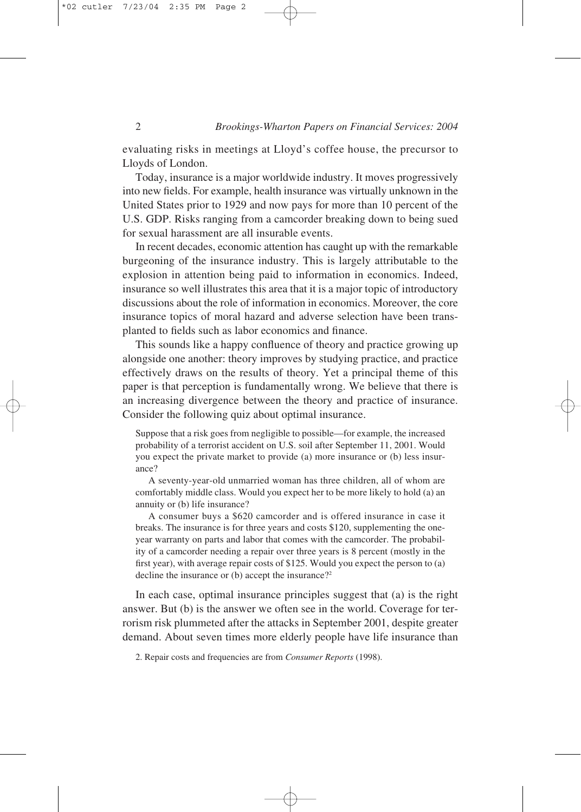evaluating risks in meetings at Lloyd's coffee house, the precursor to Lloyds of London.

Today, insurance is a major worldwide industry. It moves progressively into new fields. For example, health insurance was virtually unknown in the United States prior to 1929 and now pays for more than 10 percent of the U.S. GDP. Risks ranging from a camcorder breaking down to being sued for sexual harassment are all insurable events.

In recent decades, economic attention has caught up with the remarkable burgeoning of the insurance industry. This is largely attributable to the explosion in attention being paid to information in economics. Indeed, insurance so well illustrates this area that it is a major topic of introductory discussions about the role of information in economics. Moreover, the core insurance topics of moral hazard and adverse selection have been transplanted to fields such as labor economics and finance.

This sounds like a happy confluence of theory and practice growing up alongside one another: theory improves by studying practice, and practice effectively draws on the results of theory. Yet a principal theme of this paper is that perception is fundamentally wrong. We believe that there is an increasing divergence between the theory and practice of insurance. Consider the following quiz about optimal insurance.

Suppose that a risk goes from negligible to possible—for example, the increased probability of a terrorist accident on U.S. soil after September 11, 2001. Would you expect the private market to provide (a) more insurance or (b) less insurance?

A seventy-year-old unmarried woman has three children, all of whom are comfortably middle class. Would you expect her to be more likely to hold (a) an annuity or (b) life insurance?

A consumer buys a \$620 camcorder and is offered insurance in case it breaks. The insurance is for three years and costs \$120, supplementing the oneyear warranty on parts and labor that comes with the camcorder. The probability of a camcorder needing a repair over three years is 8 percent (mostly in the first year), with average repair costs of \$125. Would you expect the person to (a) decline the insurance or (b) accept the insurance?<sup>2</sup>

In each case, optimal insurance principles suggest that (a) is the right answer. But (b) is the answer we often see in the world. Coverage for terrorism risk plummeted after the attacks in September 2001, despite greater demand. About seven times more elderly people have life insurance than

2. Repair costs and frequencies are from *Consumer Reports* (1998).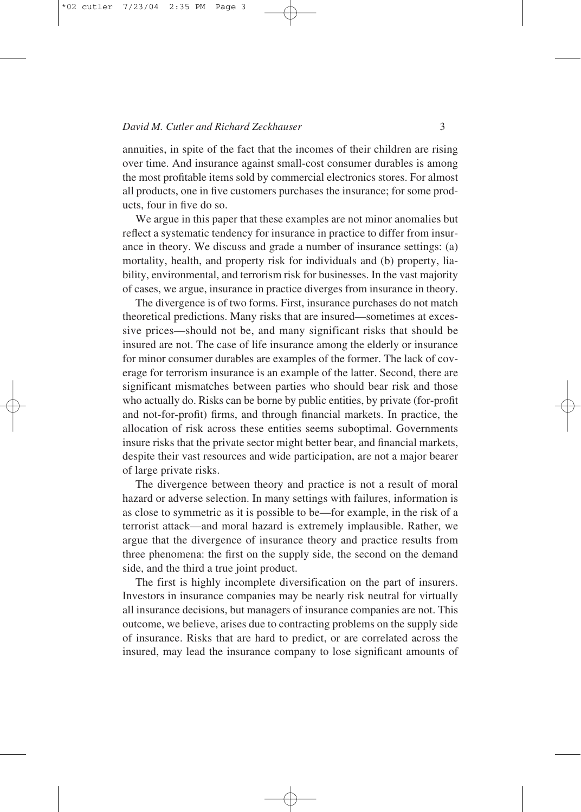annuities, in spite of the fact that the incomes of their children are rising over time. And insurance against small-cost consumer durables is among the most profitable items sold by commercial electronics stores. For almost all products, one in five customers purchases the insurance; for some products, four in five do so.

We argue in this paper that these examples are not minor anomalies but reflect a systematic tendency for insurance in practice to differ from insurance in theory. We discuss and grade a number of insurance settings: (a) mortality, health, and property risk for individuals and (b) property, liability, environmental, and terrorism risk for businesses. In the vast majority of cases, we argue, insurance in practice diverges from insurance in theory.

The divergence is of two forms. First, insurance purchases do not match theoretical predictions. Many risks that are insured—sometimes at excessive prices—should not be, and many significant risks that should be insured are not. The case of life insurance among the elderly or insurance for minor consumer durables are examples of the former. The lack of coverage for terrorism insurance is an example of the latter. Second, there are significant mismatches between parties who should bear risk and those who actually do. Risks can be borne by public entities, by private (for-profit and not-for-profit) firms, and through financial markets. In practice, the allocation of risk across these entities seems suboptimal. Governments insure risks that the private sector might better bear, and financial markets, despite their vast resources and wide participation, are not a major bearer of large private risks.

The divergence between theory and practice is not a result of moral hazard or adverse selection. In many settings with failures, information is as close to symmetric as it is possible to be—for example, in the risk of a terrorist attack—and moral hazard is extremely implausible. Rather, we argue that the divergence of insurance theory and practice results from three phenomena: the first on the supply side, the second on the demand side, and the third a true joint product.

The first is highly incomplete diversification on the part of insurers. Investors in insurance companies may be nearly risk neutral for virtually all insurance decisions, but managers of insurance companies are not. This outcome, we believe, arises due to contracting problems on the supply side of insurance. Risks that are hard to predict, or are correlated across the insured, may lead the insurance company to lose significant amounts of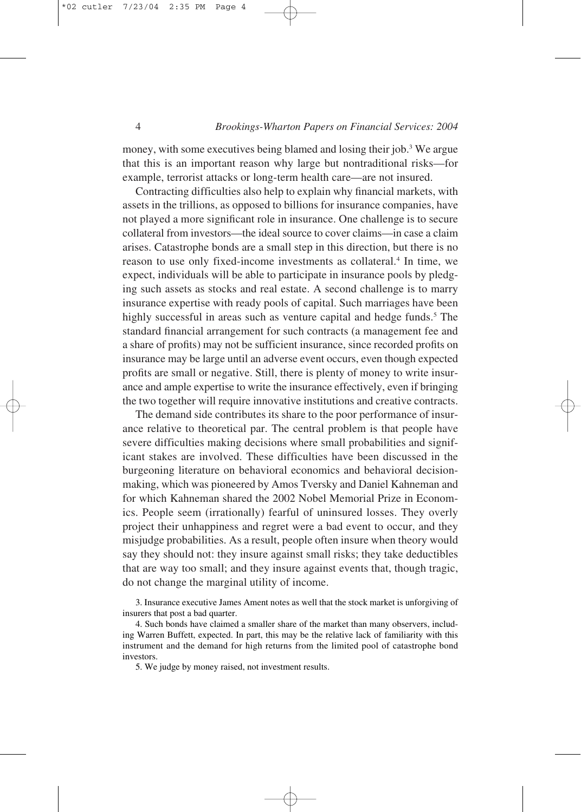money, with some executives being blamed and losing their job.<sup>3</sup> We argue that this is an important reason why large but nontraditional risks—for example, terrorist attacks or long-term health care—are not insured.

Contracting difficulties also help to explain why financial markets, with assets in the trillions, as opposed to billions for insurance companies, have not played a more significant role in insurance. One challenge is to secure collateral from investors—the ideal source to cover claims—in case a claim arises. Catastrophe bonds are a small step in this direction, but there is no reason to use only fixed-income investments as collateral.4 In time, we expect, individuals will be able to participate in insurance pools by pledging such assets as stocks and real estate. A second challenge is to marry insurance expertise with ready pools of capital. Such marriages have been highly successful in areas such as venture capital and hedge funds.<sup>5</sup> The standard financial arrangement for such contracts (a management fee and a share of profits) may not be sufficient insurance, since recorded profits on insurance may be large until an adverse event occurs, even though expected profits are small or negative. Still, there is plenty of money to write insurance and ample expertise to write the insurance effectively, even if bringing the two together will require innovative institutions and creative contracts.

The demand side contributes its share to the poor performance of insurance relative to theoretical par. The central problem is that people have severe difficulties making decisions where small probabilities and significant stakes are involved. These difficulties have been discussed in the burgeoning literature on behavioral economics and behavioral decisionmaking, which was pioneered by Amos Tversky and Daniel Kahneman and for which Kahneman shared the 2002 Nobel Memorial Prize in Economics. People seem (irrationally) fearful of uninsured losses. They overly project their unhappiness and regret were a bad event to occur, and they misjudge probabilities. As a result, people often insure when theory would say they should not: they insure against small risks; they take deductibles that are way too small; and they insure against events that, though tragic, do not change the marginal utility of income.

3. Insurance executive James Ament notes as well that the stock market is unforgiving of insurers that post a bad quarter.

4. Such bonds have claimed a smaller share of the market than many observers, including Warren Buffett, expected. In part, this may be the relative lack of familiarity with this instrument and the demand for high returns from the limited pool of catastrophe bond investors.

5. We judge by money raised, not investment results.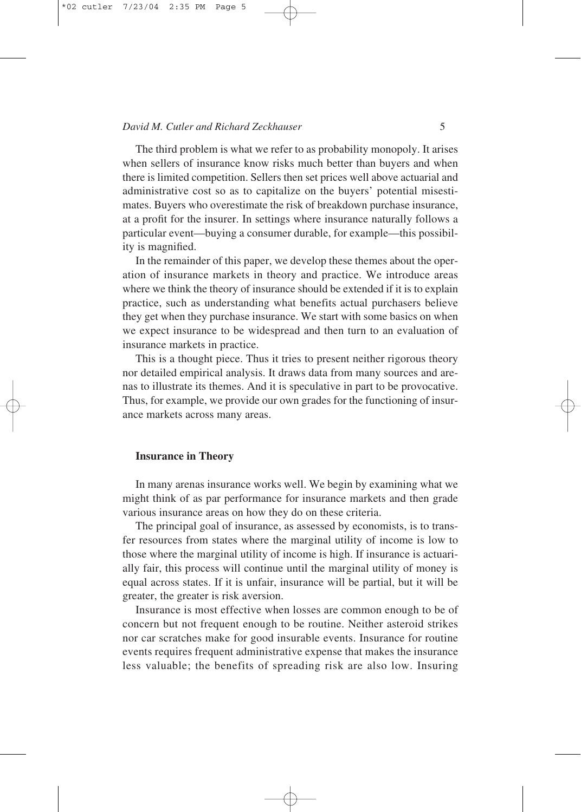#### *David M. Cutler and Richard Zeckhauser* 5

The third problem is what we refer to as probability monopoly. It arises when sellers of insurance know risks much better than buyers and when there is limited competition. Sellers then set prices well above actuarial and administrative cost so as to capitalize on the buyers' potential misestimates. Buyers who overestimate the risk of breakdown purchase insurance, at a profit for the insurer. In settings where insurance naturally follows a particular event—buying a consumer durable, for example—this possibility is magnified.

In the remainder of this paper, we develop these themes about the operation of insurance markets in theory and practice. We introduce areas where we think the theory of insurance should be extended if it is to explain practice, such as understanding what benefits actual purchasers believe they get when they purchase insurance. We start with some basics on when we expect insurance to be widespread and then turn to an evaluation of insurance markets in practice.

This is a thought piece. Thus it tries to present neither rigorous theory nor detailed empirical analysis. It draws data from many sources and arenas to illustrate its themes. And it is speculative in part to be provocative. Thus, for example, we provide our own grades for the functioning of insurance markets across many areas.

#### **Insurance in Theory**

In many arenas insurance works well. We begin by examining what we might think of as par performance for insurance markets and then grade various insurance areas on how they do on these criteria.

The principal goal of insurance, as assessed by economists, is to transfer resources from states where the marginal utility of income is low to those where the marginal utility of income is high. If insurance is actuarially fair, this process will continue until the marginal utility of money is equal across states. If it is unfair, insurance will be partial, but it will be greater, the greater is risk aversion.

Insurance is most effective when losses are common enough to be of concern but not frequent enough to be routine. Neither asteroid strikes nor car scratches make for good insurable events. Insurance for routine events requires frequent administrative expense that makes the insurance less valuable; the benefits of spreading risk are also low. Insuring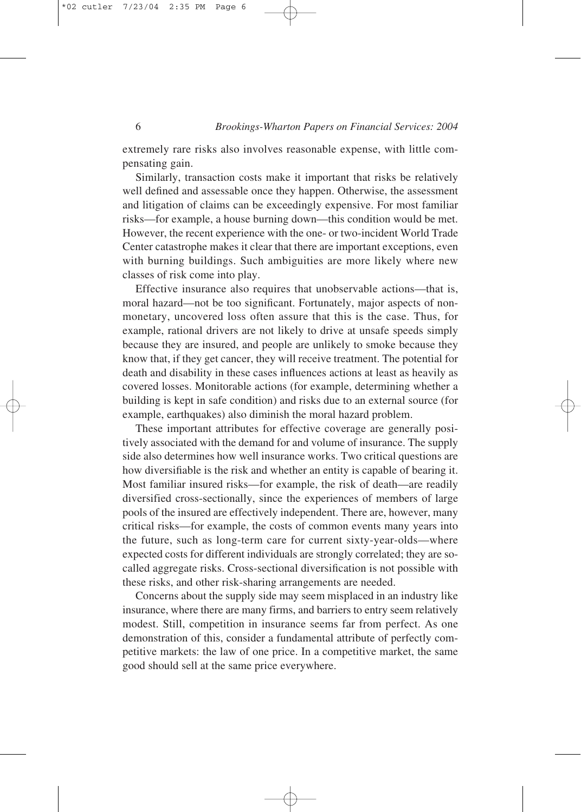extremely rare risks also involves reasonable expense, with little compensating gain.

Similarly, transaction costs make it important that risks be relatively well defined and assessable once they happen. Otherwise, the assessment and litigation of claims can be exceedingly expensive. For most familiar risks—for example, a house burning down—this condition would be met. However, the recent experience with the one- or two-incident World Trade Center catastrophe makes it clear that there are important exceptions, even with burning buildings. Such ambiguities are more likely where new classes of risk come into play.

Effective insurance also requires that unobservable actions—that is, moral hazard—not be too significant. Fortunately, major aspects of nonmonetary, uncovered loss often assure that this is the case. Thus, for example, rational drivers are not likely to drive at unsafe speeds simply because they are insured, and people are unlikely to smoke because they know that, if they get cancer, they will receive treatment. The potential for death and disability in these cases influences actions at least as heavily as covered losses. Monitorable actions (for example, determining whether a building is kept in safe condition) and risks due to an external source (for example, earthquakes) also diminish the moral hazard problem.

These important attributes for effective coverage are generally positively associated with the demand for and volume of insurance. The supply side also determines how well insurance works. Two critical questions are how diversifiable is the risk and whether an entity is capable of bearing it. Most familiar insured risks—for example, the risk of death—are readily diversified cross-sectionally, since the experiences of members of large pools of the insured are effectively independent. There are, however, many critical risks—for example, the costs of common events many years into the future, such as long-term care for current sixty-year-olds—where expected costs for different individuals are strongly correlated; they are socalled aggregate risks. Cross-sectional diversification is not possible with these risks, and other risk-sharing arrangements are needed.

Concerns about the supply side may seem misplaced in an industry like insurance, where there are many firms, and barriers to entry seem relatively modest. Still, competition in insurance seems far from perfect. As one demonstration of this, consider a fundamental attribute of perfectly competitive markets: the law of one price. In a competitive market, the same good should sell at the same price everywhere.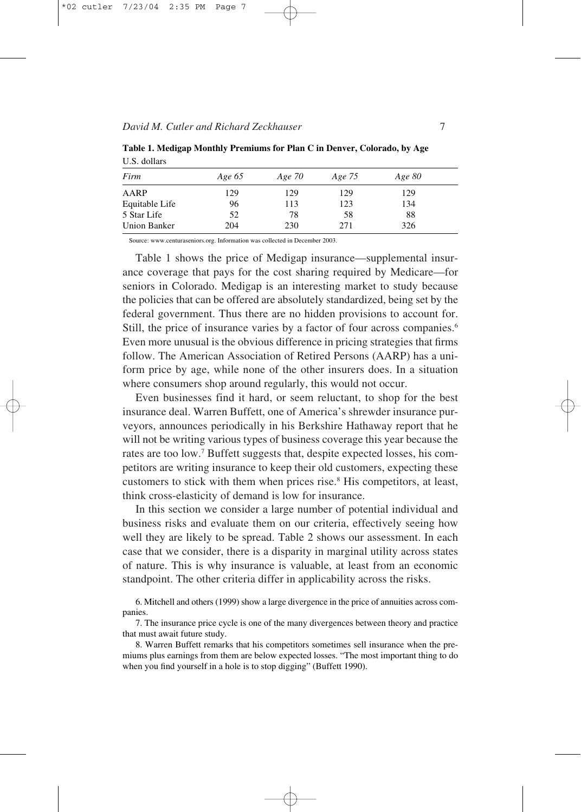| Firm                | Age 65 | Age 70 | Age 75 | Age 80 |  |
|---------------------|--------|--------|--------|--------|--|
| AARP                | 129    | 129    | 129    | 129    |  |
| Equitable Life      | 96     | 113    | 123    | 134    |  |
| 5 Star Life         | 52     | 78     | 58     | 88     |  |
| <b>Union Banker</b> | 204    | 230    | 271    | 326    |  |

**Table 1. Medigap Monthly Premiums for Plan C in Denver, Colorado, by Age** U.S. dollars

Source: www.centuraseniors.org. Information was collected in December 2003.

Table 1 shows the price of Medigap insurance—supplemental insurance coverage that pays for the cost sharing required by Medicare—for seniors in Colorado. Medigap is an interesting market to study because the policies that can be offered are absolutely standardized, being set by the federal government. Thus there are no hidden provisions to account for. Still, the price of insurance varies by a factor of four across companies.<sup>6</sup> Even more unusual is the obvious difference in pricing strategies that firms follow. The American Association of Retired Persons (AARP) has a uniform price by age, while none of the other insurers does. In a situation where consumers shop around regularly, this would not occur.

Even businesses find it hard, or seem reluctant, to shop for the best insurance deal. Warren Buffett, one of America's shrewder insurance purveyors, announces periodically in his Berkshire Hathaway report that he will not be writing various types of business coverage this year because the rates are too low.7 Buffett suggests that, despite expected losses, his competitors are writing insurance to keep their old customers, expecting these customers to stick with them when prices rise.<sup>8</sup> His competitors, at least, think cross-elasticity of demand is low for insurance.

In this section we consider a large number of potential individual and business risks and evaluate them on our criteria, effectively seeing how well they are likely to be spread. Table 2 shows our assessment. In each case that we consider, there is a disparity in marginal utility across states of nature. This is why insurance is valuable, at least from an economic standpoint. The other criteria differ in applicability across the risks.

6. Mitchell and others (1999) show a large divergence in the price of annuities across companies.

7. The insurance price cycle is one of the many divergences between theory and practice that must await future study.

8. Warren Buffett remarks that his competitors sometimes sell insurance when the premiums plus earnings from them are below expected losses. "The most important thing to do when you find yourself in a hole is to stop digging" (Buffett 1990).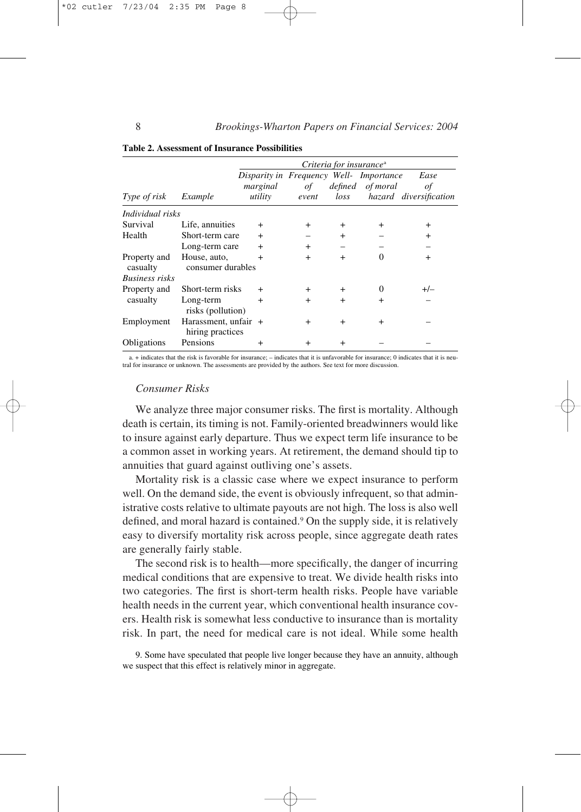|                          |                                          |                                                                |             | Criteria for insurance <sup>a</sup> |                  |                                      |
|--------------------------|------------------------------------------|----------------------------------------------------------------|-------------|-------------------------------------|------------------|--------------------------------------|
| Type of risk             | Example                                  | Disparity in Frequency Well- Importance<br>marginal<br>utility | οf<br>event | $\log s$                            | defined of moral | Ease<br>οf<br>hazard diversification |
| Individual risks         |                                          |                                                                |             |                                     |                  |                                      |
| Survival                 | Life, annuities                          | $\ddot{}$                                                      | $\ddot{}$   | $\ddot{}$                           | $\pm$            | $\ddot{}$                            |
| Health                   | Short-term care                          | $+$                                                            |             | $\ddot{}$                           |                  | $\ddot{}$                            |
|                          | Long-term care                           | $+$                                                            | $+$         |                                     |                  |                                      |
| Property and<br>casualty | House, auto,<br>consumer durables        | $\ddot{}$                                                      | $+$         | $+$                                 | 0                | $\ddot{}$                            |
| <b>Business risks</b>    |                                          |                                                                |             |                                     |                  |                                      |
| Property and             | Short-term risks                         | $\ddot{}$                                                      | $\ddot{}$   | $\ddot{}$                           | $\theta$         | $+/-$                                |
| casualty                 | Long-term<br>risks (pollution)           | $\ddot{}$                                                      | $\ddot{}$   | $\pm$                               | $\div$           |                                      |
| Employment               | Harassment, unfair +<br>hiring practices |                                                                | $\ddot{}$   | $\ddot{}$                           | $\ddot{}$        |                                      |
| Obligations              | Pensions                                 | $\div$                                                         | $\,{}^+$    | $\ddot{}$                           |                  |                                      |

| <b>Table 2. Assessment of Insurance Possibilities</b> |  |
|-------------------------------------------------------|--|
|-------------------------------------------------------|--|

a. + indicates that the risk is favorable for insurance; – indicates that it is unfavorable for insurance; 0 indicates that it is neutral for insurance or unknown. The assessments are provided by the authors. See text for more discussion.

#### *Consumer Risks*

We analyze three major consumer risks. The first is mortality. Although death is certain, its timing is not. Family-oriented breadwinners would like to insure against early departure. Thus we expect term life insurance to be a common asset in working years. At retirement, the demand should tip to annuities that guard against outliving one's assets.

Mortality risk is a classic case where we expect insurance to perform well. On the demand side, the event is obviously infrequent, so that administrative costs relative to ultimate payouts are not high. The loss is also well defined, and moral hazard is contained.<sup>9</sup> On the supply side, it is relatively easy to diversify mortality risk across people, since aggregate death rates are generally fairly stable.

The second risk is to health—more specifically, the danger of incurring medical conditions that are expensive to treat. We divide health risks into two categories. The first is short-term health risks. People have variable health needs in the current year, which conventional health insurance covers. Health risk is somewhat less conductive to insurance than is mortality risk. In part, the need for medical care is not ideal. While some health

9. Some have speculated that people live longer because they have an annuity, although we suspect that this effect is relatively minor in aggregate.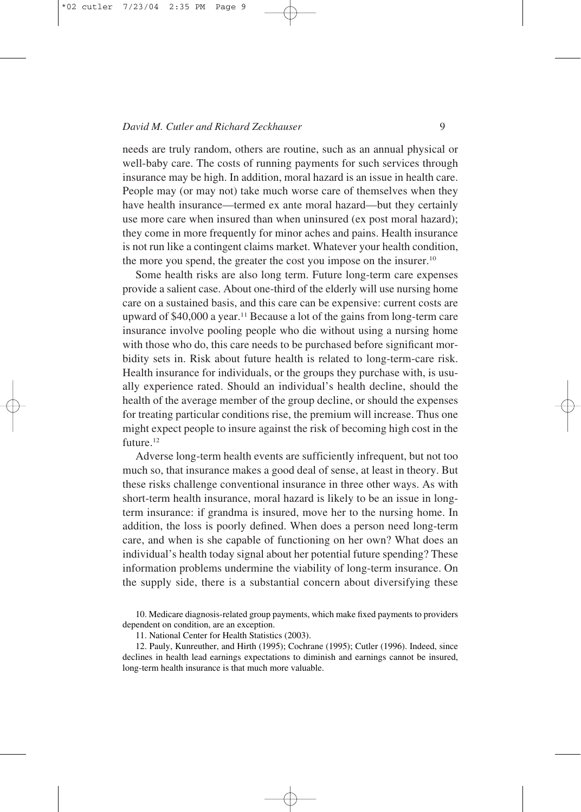needs are truly random, others are routine, such as an annual physical or well-baby care. The costs of running payments for such services through insurance may be high. In addition, moral hazard is an issue in health care. People may (or may not) take much worse care of themselves when they have health insurance—termed ex ante moral hazard—but they certainly use more care when insured than when uninsured (ex post moral hazard); they come in more frequently for minor aches and pains. Health insurance is not run like a contingent claims market. Whatever your health condition, the more you spend, the greater the cost you impose on the insurer.<sup>10</sup>

Some health risks are also long term. Future long-term care expenses provide a salient case. About one-third of the elderly will use nursing home care on a sustained basis, and this care can be expensive: current costs are upward of  $$40,000$  a year.<sup>11</sup> Because a lot of the gains from long-term care insurance involve pooling people who die without using a nursing home with those who do, this care needs to be purchased before significant morbidity sets in. Risk about future health is related to long-term-care risk. Health insurance for individuals, or the groups they purchase with, is usually experience rated. Should an individual's health decline, should the health of the average member of the group decline, or should the expenses for treating particular conditions rise, the premium will increase. Thus one might expect people to insure against the risk of becoming high cost in the future.<sup>12</sup>

Adverse long-term health events are sufficiently infrequent, but not too much so, that insurance makes a good deal of sense, at least in theory. But these risks challenge conventional insurance in three other ways. As with short-term health insurance, moral hazard is likely to be an issue in longterm insurance: if grandma is insured, move her to the nursing home. In addition, the loss is poorly defined. When does a person need long-term care, and when is she capable of functioning on her own? What does an individual's health today signal about her potential future spending? These information problems undermine the viability of long-term insurance. On the supply side, there is a substantial concern about diversifying these

10. Medicare diagnosis-related group payments, which make fixed payments to providers dependent on condition, are an exception.

11. National Center for Health Statistics (2003).

12. Pauly, Kunreuther, and Hirth (1995); Cochrane (1995); Cutler (1996). Indeed, since declines in health lead earnings expectations to diminish and earnings cannot be insured, long-term health insurance is that much more valuable.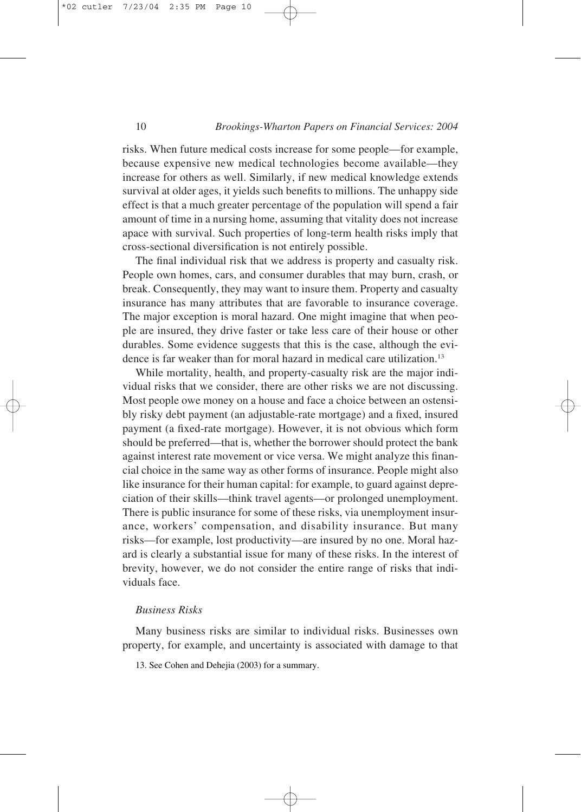risks. When future medical costs increase for some people—for example, because expensive new medical technologies become available—they increase for others as well. Similarly, if new medical knowledge extends survival at older ages, it yields such benefits to millions. The unhappy side effect is that a much greater percentage of the population will spend a fair amount of time in a nursing home, assuming that vitality does not increase apace with survival. Such properties of long-term health risks imply that cross-sectional diversification is not entirely possible.

The final individual risk that we address is property and casualty risk. People own homes, cars, and consumer durables that may burn, crash, or break. Consequently, they may want to insure them. Property and casualty insurance has many attributes that are favorable to insurance coverage. The major exception is moral hazard. One might imagine that when people are insured, they drive faster or take less care of their house or other durables. Some evidence suggests that this is the case, although the evidence is far weaker than for moral hazard in medical care utilization.<sup>13</sup>

While mortality, health, and property-casualty risk are the major individual risks that we consider, there are other risks we are not discussing. Most people owe money on a house and face a choice between an ostensibly risky debt payment (an adjustable-rate mortgage) and a fixed, insured payment (a fixed-rate mortgage). However, it is not obvious which form should be preferred—that is, whether the borrower should protect the bank against interest rate movement or vice versa. We might analyze this financial choice in the same way as other forms of insurance. People might also like insurance for their human capital: for example, to guard against depreciation of their skills—think travel agents—or prolonged unemployment. There is public insurance for some of these risks, via unemployment insurance, workers' compensation, and disability insurance. But many risks—for example, lost productivity—are insured by no one. Moral hazard is clearly a substantial issue for many of these risks. In the interest of brevity, however, we do not consider the entire range of risks that individuals face.

#### *Business Risks*

Many business risks are similar to individual risks. Businesses own property, for example, and uncertainty is associated with damage to that

13. See Cohen and Dehejia (2003) for a summary.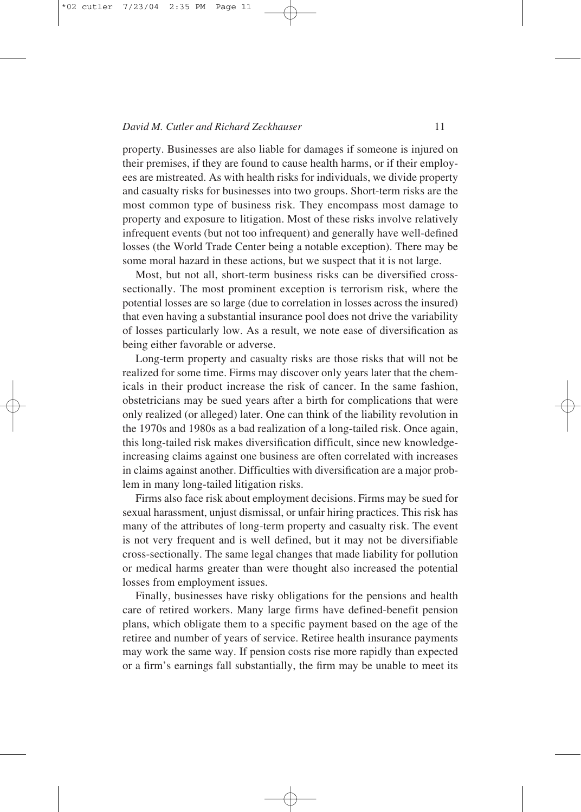property. Businesses are also liable for damages if someone is injured on their premises, if they are found to cause health harms, or if their employees are mistreated. As with health risks for individuals, we divide property and casualty risks for businesses into two groups. Short-term risks are the most common type of business risk. They encompass most damage to property and exposure to litigation. Most of these risks involve relatively infrequent events (but not too infrequent) and generally have well-defined losses (the World Trade Center being a notable exception). There may be some moral hazard in these actions, but we suspect that it is not large.

Most, but not all, short-term business risks can be diversified crosssectionally. The most prominent exception is terrorism risk, where the potential losses are so large (due to correlation in losses across the insured) that even having a substantial insurance pool does not drive the variability of losses particularly low. As a result, we note ease of diversification as being either favorable or adverse.

Long-term property and casualty risks are those risks that will not be realized for some time. Firms may discover only years later that the chemicals in their product increase the risk of cancer. In the same fashion, obstetricians may be sued years after a birth for complications that were only realized (or alleged) later. One can think of the liability revolution in the 1970s and 1980s as a bad realization of a long-tailed risk. Once again, this long-tailed risk makes diversification difficult, since new knowledgeincreasing claims against one business are often correlated with increases in claims against another. Difficulties with diversification are a major problem in many long-tailed litigation risks.

Firms also face risk about employment decisions. Firms may be sued for sexual harassment, unjust dismissal, or unfair hiring practices. This risk has many of the attributes of long-term property and casualty risk. The event is not very frequent and is well defined, but it may not be diversifiable cross-sectionally. The same legal changes that made liability for pollution or medical harms greater than were thought also increased the potential losses from employment issues.

Finally, businesses have risky obligations for the pensions and health care of retired workers. Many large firms have defined-benefit pension plans, which obligate them to a specific payment based on the age of the retiree and number of years of service. Retiree health insurance payments may work the same way. If pension costs rise more rapidly than expected or a firm's earnings fall substantially, the firm may be unable to meet its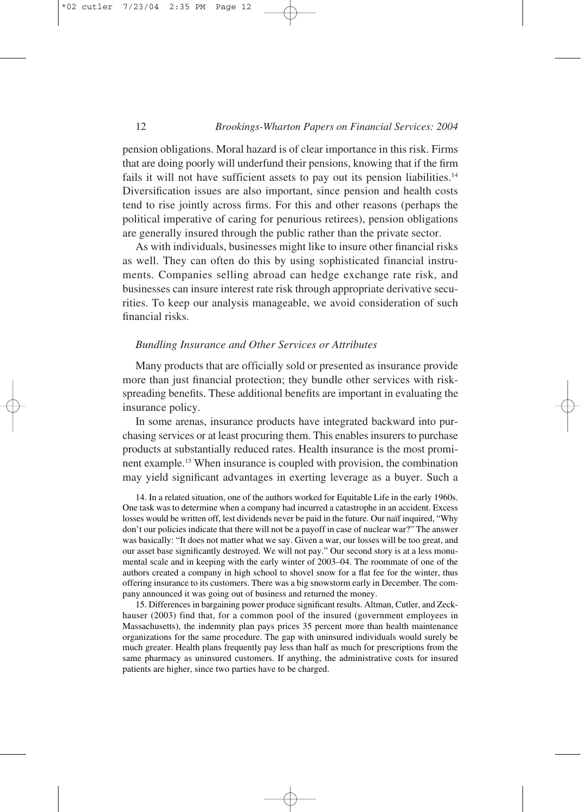pension obligations. Moral hazard is of clear importance in this risk. Firms that are doing poorly will underfund their pensions, knowing that if the firm fails it will not have sufficient assets to pay out its pension liabilities.<sup>14</sup> Diversification issues are also important, since pension and health costs tend to rise jointly across firms. For this and other reasons (perhaps the political imperative of caring for penurious retirees), pension obligations are generally insured through the public rather than the private sector.

As with individuals, businesses might like to insure other financial risks as well. They can often do this by using sophisticated financial instruments. Companies selling abroad can hedge exchange rate risk, and businesses can insure interest rate risk through appropriate derivative securities. To keep our analysis manageable, we avoid consideration of such financial risks.

#### *Bundling Insurance and Other Services or Attributes*

Many products that are officially sold or presented as insurance provide more than just financial protection; they bundle other services with riskspreading benefits. These additional benefits are important in evaluating the insurance policy.

In some arenas, insurance products have integrated backward into purchasing services or at least procuring them. This enables insurers to purchase products at substantially reduced rates. Health insurance is the most prominent example.15 When insurance is coupled with provision, the combination may yield significant advantages in exerting leverage as a buyer. Such a

14. In a related situation, one of the authors worked for Equitable Life in the early 1960s. One task was to determine when a company had incurred a catastrophe in an accident. Excess losses would be written off, lest dividends never be paid in the future. Our naïf inquired, "Why" don't our policies indicate that there will not be a payoff in case of nuclear war?" The answer was basically: "It does not matter what we say. Given a war, our losses will be too great, and our asset base significantly destroyed. We will not pay." Our second story is at a less monumental scale and in keeping with the early winter of 2003–04. The roommate of one of the authors created a company in high school to shovel snow for a flat fee for the winter, thus offering insurance to its customers. There was a big snowstorm early in December. The company announced it was going out of business and returned the money.

15. Differences in bargaining power produce significant results. Altman, Cutler, and Zeckhauser (2003) find that, for a common pool of the insured (government employees in Massachusetts), the indemnity plan pays prices 35 percent more than health maintenance organizations for the same procedure. The gap with uninsured individuals would surely be much greater. Health plans frequently pay less than half as much for prescriptions from the same pharmacy as uninsured customers. If anything, the administrative costs for insured patients are higher, since two parties have to be charged.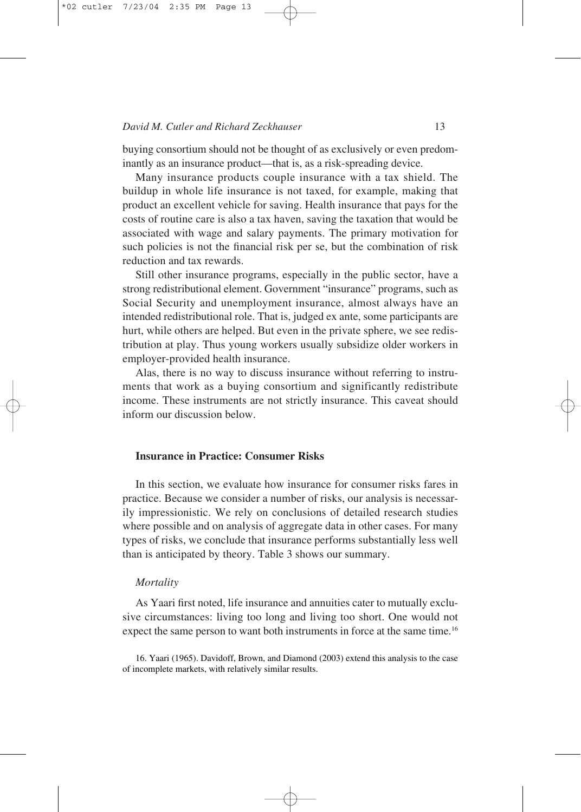buying consortium should not be thought of as exclusively or even predominantly as an insurance product—that is, as a risk-spreading device.

Many insurance products couple insurance with a tax shield. The buildup in whole life insurance is not taxed, for example, making that product an excellent vehicle for saving. Health insurance that pays for the costs of routine care is also a tax haven, saving the taxation that would be associated with wage and salary payments. The primary motivation for such policies is not the financial risk per se, but the combination of risk reduction and tax rewards.

Still other insurance programs, especially in the public sector, have a strong redistributional element. Government "insurance" programs, such as Social Security and unemployment insurance, almost always have an intended redistributional role. That is, judged ex ante, some participants are hurt, while others are helped. But even in the private sphere, we see redistribution at play. Thus young workers usually subsidize older workers in employer-provided health insurance.

Alas, there is no way to discuss insurance without referring to instruments that work as a buying consortium and significantly redistribute income. These instruments are not strictly insurance. This caveat should inform our discussion below.

#### **Insurance in Practice: Consumer Risks**

In this section, we evaluate how insurance for consumer risks fares in practice. Because we consider a number of risks, our analysis is necessarily impressionistic. We rely on conclusions of detailed research studies where possible and on analysis of aggregate data in other cases. For many types of risks, we conclude that insurance performs substantially less well than is anticipated by theory. Table 3 shows our summary.

#### *Mortality*

As Yaari first noted, life insurance and annuities cater to mutually exclusive circumstances: living too long and living too short. One would not expect the same person to want both instruments in force at the same time.<sup>16</sup>

16. Yaari (1965). Davidoff, Brown, and Diamond (2003) extend this analysis to the case of incomplete markets, with relatively similar results.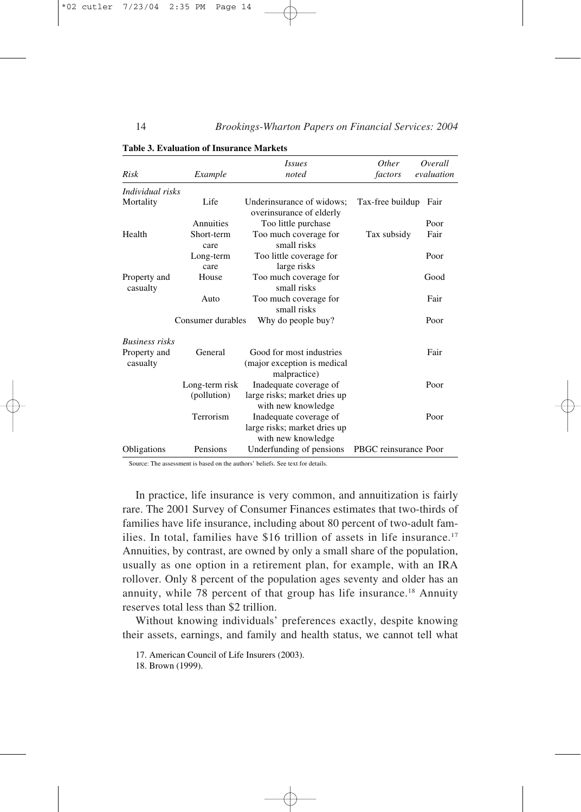|                          |                    | <i>Issues</i>                                                                | <i>Other</i>          | Overall    |
|--------------------------|--------------------|------------------------------------------------------------------------------|-----------------------|------------|
| Risk                     | Example            | noted                                                                        | factors               | evaluation |
| Individual risks         |                    |                                                                              |                       |            |
| Mortality                | Life               | Underinsurance of widows:<br>overinsurance of elderly                        | Tax-free buildup      | Fair       |
|                          | Annuities          | Too little purchase                                                          |                       | Poor       |
| Health                   | Short-term<br>care | Too much coverage for<br>small risks                                         | Tax subsidy           | Fair       |
|                          | Long-term<br>care  | Too little coverage for<br>large risks                                       |                       | Poor       |
| Property and<br>casualty | House              | Too much coverage for<br>small risks                                         |                       | Good       |
|                          | Auto               | Too much coverage for<br>small risks                                         |                       | Fair       |
|                          | Consumer durables  | Why do people buy?                                                           |                       | Poor       |
| <b>Business risks</b>    |                    |                                                                              |                       |            |
| Property and<br>casualty | General            | Good for most industries<br>(major exception is medical<br>malpractice)      |                       | Fair       |
|                          | Long-term risk     | Inadequate coverage of                                                       |                       | Poor       |
|                          | (pollution)        | large risks; market dries up<br>with new knowledge                           |                       |            |
|                          | Terrorism          | Inadequate coverage of<br>large risks; market dries up<br>with new knowledge |                       | Poor       |
| Obligations              | Pensions           | Underfunding of pensions                                                     | PBGC reinsurance Poor |            |

**Table 3. Evaluation of Insurance Markets**

Source: The assessment is based on the authors' beliefs. See text for details.

In practice, life insurance is very common, and annuitization is fairly rare. The 2001 Survey of Consumer Finances estimates that two-thirds of families have life insurance, including about 80 percent of two-adult families. In total, families have \$16 trillion of assets in life insurance.<sup>17</sup> Annuities, by contrast, are owned by only a small share of the population, usually as one option in a retirement plan, for example, with an IRA rollover. Only 8 percent of the population ages seventy and older has an annuity, while 78 percent of that group has life insurance.<sup>18</sup> Annuity reserves total less than \$2 trillion.

Without knowing individuals' preferences exactly, despite knowing their assets, earnings, and family and health status, we cannot tell what

17. American Council of Life Insurers (2003).

18. Brown (1999).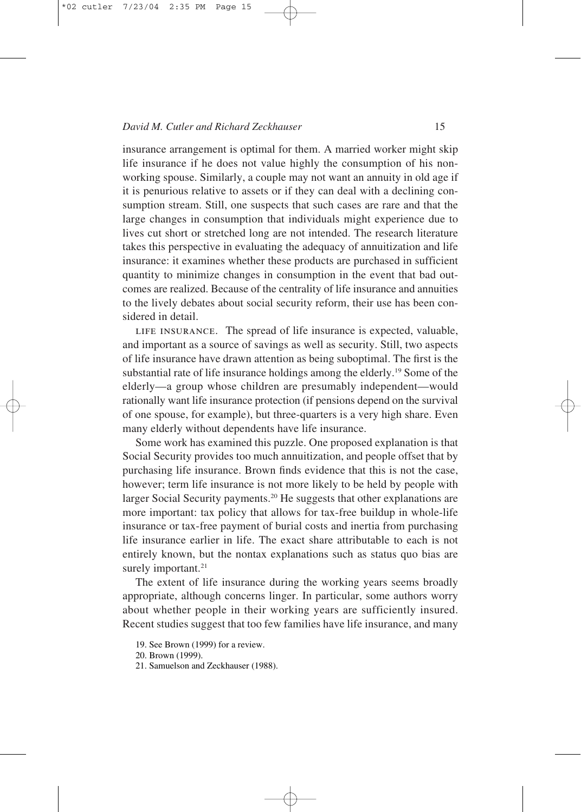insurance arrangement is optimal for them. A married worker might skip life insurance if he does not value highly the consumption of his nonworking spouse. Similarly, a couple may not want an annuity in old age if it is penurious relative to assets or if they can deal with a declining consumption stream. Still, one suspects that such cases are rare and that the large changes in consumption that individuals might experience due to lives cut short or stretched long are not intended. The research literature takes this perspective in evaluating the adequacy of annuitization and life insurance: it examines whether these products are purchased in sufficient quantity to minimize changes in consumption in the event that bad outcomes are realized. Because of the centrality of life insurance and annuities to the lively debates about social security reform, their use has been considered in detail.

life insurance. The spread of life insurance is expected, valuable, and important as a source of savings as well as security. Still, two aspects of life insurance have drawn attention as being suboptimal. The first is the substantial rate of life insurance holdings among the elderly.<sup>19</sup> Some of the elderly—a group whose children are presumably independent—would rationally want life insurance protection (if pensions depend on the survival of one spouse, for example), but three-quarters is a very high share. Even many elderly without dependents have life insurance.

Some work has examined this puzzle. One proposed explanation is that Social Security provides too much annuitization, and people offset that by purchasing life insurance. Brown finds evidence that this is not the case, however; term life insurance is not more likely to be held by people with larger Social Security payments.<sup>20</sup> He suggests that other explanations are more important: tax policy that allows for tax-free buildup in whole-life insurance or tax-free payment of burial costs and inertia from purchasing life insurance earlier in life. The exact share attributable to each is not entirely known, but the nontax explanations such as status quo bias are surely important.<sup>21</sup>

The extent of life insurance during the working years seems broadly appropriate, although concerns linger. In particular, some authors worry about whether people in their working years are sufficiently insured. Recent studies suggest that too few families have life insurance, and many

21. Samuelson and Zeckhauser (1988).

<sup>19.</sup> See Brown (1999) for a review.

<sup>20.</sup> Brown (1999).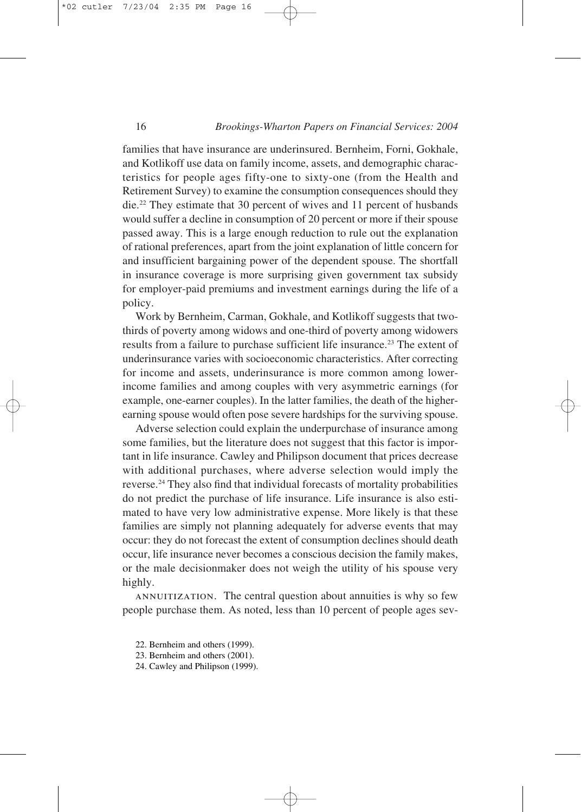families that have insurance are underinsured. Bernheim, Forni, Gokhale, and Kotlikoff use data on family income, assets, and demographic characteristics for people ages fifty-one to sixty-one (from the Health and Retirement Survey) to examine the consumption consequences should they die.22 They estimate that 30 percent of wives and 11 percent of husbands would suffer a decline in consumption of 20 percent or more if their spouse passed away. This is a large enough reduction to rule out the explanation of rational preferences, apart from the joint explanation of little concern for and insufficient bargaining power of the dependent spouse. The shortfall in insurance coverage is more surprising given government tax subsidy for employer-paid premiums and investment earnings during the life of a policy.

Work by Bernheim, Carman, Gokhale, and Kotlikoff suggests that twothirds of poverty among widows and one-third of poverty among widowers results from a failure to purchase sufficient life insurance.<sup>23</sup> The extent of underinsurance varies with socioeconomic characteristics. After correcting for income and assets, underinsurance is more common among lowerincome families and among couples with very asymmetric earnings (for example, one-earner couples). In the latter families, the death of the higherearning spouse would often pose severe hardships for the surviving spouse.

Adverse selection could explain the underpurchase of insurance among some families, but the literature does not suggest that this factor is important in life insurance. Cawley and Philipson document that prices decrease with additional purchases, where adverse selection would imply the reverse.24 They also find that individual forecasts of mortality probabilities do not predict the purchase of life insurance. Life insurance is also estimated to have very low administrative expense. More likely is that these families are simply not planning adequately for adverse events that may occur: they do not forecast the extent of consumption declines should death occur, life insurance never becomes a conscious decision the family makes, or the male decisionmaker does not weigh the utility of his spouse very highly.

annuitization. The central question about annuities is why so few people purchase them. As noted, less than 10 percent of people ages sev-

- 22. Bernheim and others (1999).
- 23. Bernheim and others (2001).
- 24. Cawley and Philipson (1999).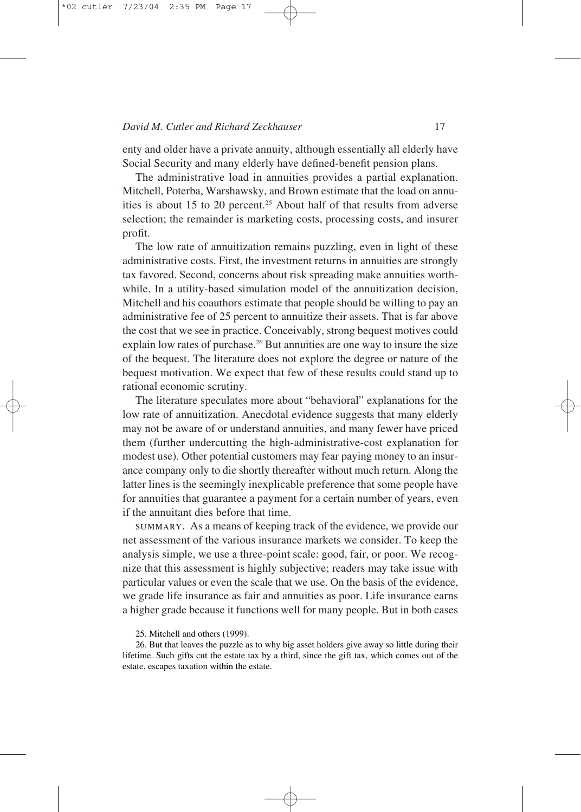enty and older have a private annuity, although essentially all elderly have Social Security and many elderly have defined-benefit pension plans.

The administrative load in annuities provides a partial explanation. Mitchell, Poterba, Warshawsky, and Brown estimate that the load on annuities is about 15 to 20 percent.<sup>25</sup> About half of that results from adverse selection; the remainder is marketing costs, processing costs, and insurer profit.

The low rate of annuitization remains puzzling, even in light of these administrative costs. First, the investment returns in annuities are strongly tax favored. Second, concerns about risk spreading make annuities worthwhile. In a utility-based simulation model of the annuitization decision, Mitchell and his coauthors estimate that people should be willing to pay an administrative fee of 25 percent to annuitize their assets. That is far above the cost that we see in practice. Conceivably, strong bequest motives could explain low rates of purchase.<sup>26</sup> But annuities are one way to insure the size of the bequest. The literature does not explore the degree or nature of the bequest motivation. We expect that few of these results could stand up to rational economic scrutiny.

The literature speculates more about "behavioral" explanations for the low rate of annuitization. Anecdotal evidence suggests that many elderly may not be aware of or understand annuities, and many fewer have priced them (further undercutting the high-administrative-cost explanation for modest use). Other potential customers may fear paying money to an insurance company only to die shortly thereafter without much return. Along the latter lines is the seemingly inexplicable preference that some people have for annuities that guarantee a payment for a certain number of years, even if the annuitant dies before that time.

summary. As a means of keeping track of the evidence, we provide our net assessment of the various insurance markets we consider. To keep the analysis simple, we use a three-point scale: good, fair, or poor. We recognize that this assessment is highly subjective; readers may take issue with particular values or even the scale that we use. On the basis of the evidence, we grade life insurance as fair and annuities as poor. Life insurance earns a higher grade because it functions well for many people. But in both cases

#### 25. Mitchell and others (1999).

26. But that leaves the puzzle as to why big asset holders give away so little during their lifetime. Such gifts cut the estate tax by a third, since the gift tax, which comes out of the estate, escapes taxation within the estate.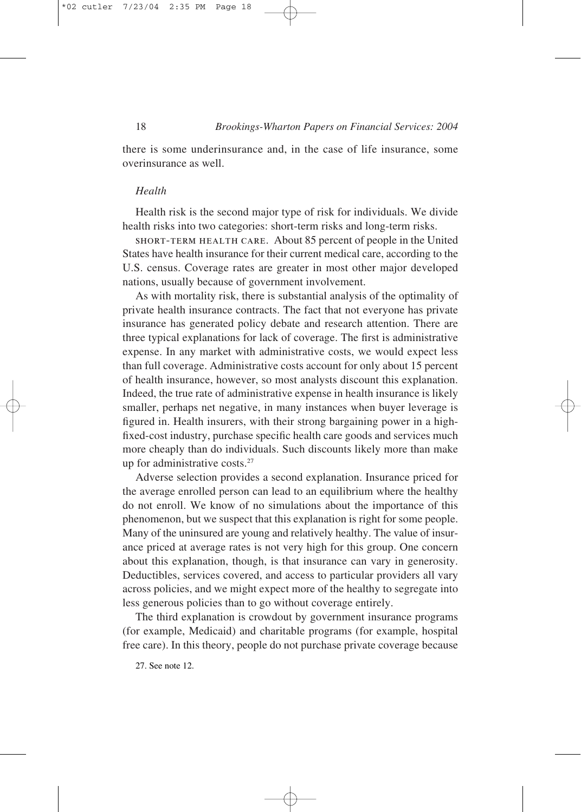there is some underinsurance and, in the case of life insurance, some overinsurance as well.

#### *Health*

Health risk is the second major type of risk for individuals. We divide health risks into two categories: short-term risks and long-term risks.

short-term health care. About 85 percent of people in the United States have health insurance for their current medical care, according to the U.S. census. Coverage rates are greater in most other major developed nations, usually because of government involvement.

As with mortality risk, there is substantial analysis of the optimality of private health insurance contracts. The fact that not everyone has private insurance has generated policy debate and research attention. There are three typical explanations for lack of coverage. The first is administrative expense. In any market with administrative costs, we would expect less than full coverage. Administrative costs account for only about 15 percent of health insurance, however, so most analysts discount this explanation. Indeed, the true rate of administrative expense in health insurance is likely smaller, perhaps net negative, in many instances when buyer leverage is figured in. Health insurers, with their strong bargaining power in a highfixed-cost industry, purchase specific health care goods and services much more cheaply than do individuals. Such discounts likely more than make up for administrative costs.<sup>27</sup>

Adverse selection provides a second explanation. Insurance priced for the average enrolled person can lead to an equilibrium where the healthy do not enroll. We know of no simulations about the importance of this phenomenon, but we suspect that this explanation is right for some people. Many of the uninsured are young and relatively healthy. The value of insurance priced at average rates is not very high for this group. One concern about this explanation, though, is that insurance can vary in generosity. Deductibles, services covered, and access to particular providers all vary across policies, and we might expect more of the healthy to segregate into less generous policies than to go without coverage entirely.

The third explanation is crowdout by government insurance programs (for example, Medicaid) and charitable programs (for example, hospital free care). In this theory, people do not purchase private coverage because

27. See note 12.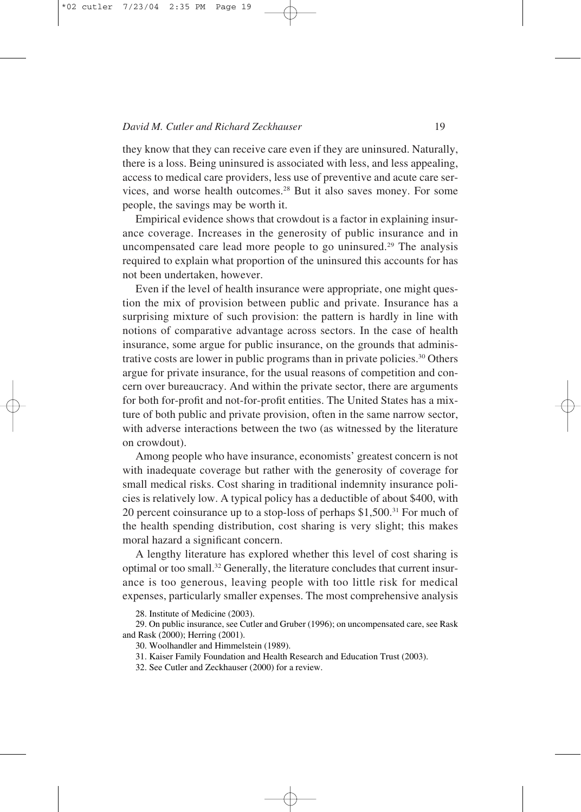they know that they can receive care even if they are uninsured. Naturally, there is a loss. Being uninsured is associated with less, and less appealing, access to medical care providers, less use of preventive and acute care services, and worse health outcomes.28 But it also saves money. For some people, the savings may be worth it.

Empirical evidence shows that crowdout is a factor in explaining insurance coverage. Increases in the generosity of public insurance and in uncompensated care lead more people to go uninsured.<sup>29</sup> The analysis required to explain what proportion of the uninsured this accounts for has not been undertaken, however.

Even if the level of health insurance were appropriate, one might question the mix of provision between public and private. Insurance has a surprising mixture of such provision: the pattern is hardly in line with notions of comparative advantage across sectors. In the case of health insurance, some argue for public insurance, on the grounds that administrative costs are lower in public programs than in private policies.<sup>30</sup> Others argue for private insurance, for the usual reasons of competition and concern over bureaucracy. And within the private sector, there are arguments for both for-profit and not-for-profit entities. The United States has a mixture of both public and private provision, often in the same narrow sector, with adverse interactions between the two (as witnessed by the literature on crowdout).

Among people who have insurance, economists' greatest concern is not with inadequate coverage but rather with the generosity of coverage for small medical risks. Cost sharing in traditional indemnity insurance policies is relatively low. A typical policy has a deductible of about \$400, with 20 percent coinsurance up to a stop-loss of perhaps \$1,500.31 For much of the health spending distribution, cost sharing is very slight; this makes moral hazard a significant concern.

A lengthy literature has explored whether this level of cost sharing is optimal or too small.32 Generally, the literature concludes that current insurance is too generous, leaving people with too little risk for medical expenses, particularly smaller expenses. The most comprehensive analysis

28. Institute of Medicine (2003).

29. On public insurance, see Cutler and Gruber (1996); on uncompensated care, see Rask and Rask (2000); Herring (2001).

- 30. Woolhandler and Himmelstein (1989).
- 31. Kaiser Family Foundation and Health Research and Education Trust (2003).
- 32. See Cutler and Zeckhauser (2000) for a review.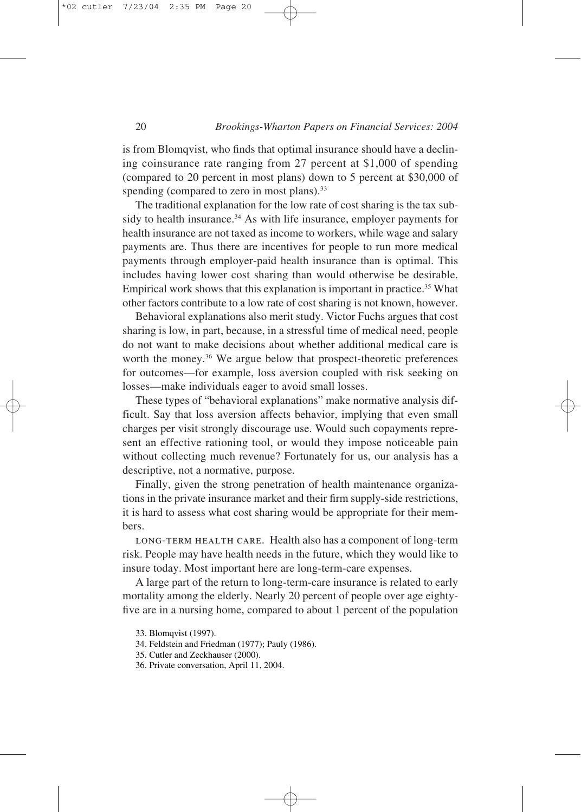is from Blomqvist, who finds that optimal insurance should have a declining coinsurance rate ranging from 27 percent at \$1,000 of spending (compared to 20 percent in most plans) down to 5 percent at \$30,000 of spending (compared to zero in most plans).<sup>33</sup>

The traditional explanation for the low rate of cost sharing is the tax subsidy to health insurance.<sup>34</sup> As with life insurance, employer payments for health insurance are not taxed as income to workers, while wage and salary payments are. Thus there are incentives for people to run more medical payments through employer-paid health insurance than is optimal. This includes having lower cost sharing than would otherwise be desirable. Empirical work shows that this explanation is important in practice.<sup>35</sup> What other factors contribute to a low rate of cost sharing is not known, however.

Behavioral explanations also merit study. Victor Fuchs argues that cost sharing is low, in part, because, in a stressful time of medical need, people do not want to make decisions about whether additional medical care is worth the money.<sup>36</sup> We argue below that prospect-theoretic preferences for outcomes—for example, loss aversion coupled with risk seeking on losses—make individuals eager to avoid small losses.

These types of "behavioral explanations" make normative analysis difficult. Say that loss aversion affects behavior, implying that even small charges per visit strongly discourage use. Would such copayments represent an effective rationing tool, or would they impose noticeable pain without collecting much revenue? Fortunately for us, our analysis has a descriptive, not a normative, purpose.

Finally, given the strong penetration of health maintenance organizations in the private insurance market and their firm supply-side restrictions, it is hard to assess what cost sharing would be appropriate for their members.

long-term health care. Health also has a component of long-term risk. People may have health needs in the future, which they would like to insure today. Most important here are long-term-care expenses.

A large part of the return to long-term-care insurance is related to early mortality among the elderly. Nearly 20 percent of people over age eightyfive are in a nursing home, compared to about 1 percent of the population

- 34. Feldstein and Friedman (1977); Pauly (1986).
- 35. Cutler and Zeckhauser (2000).
- 36. Private conversation, April 11, 2004.

<sup>33.</sup> Blomqvist (1997).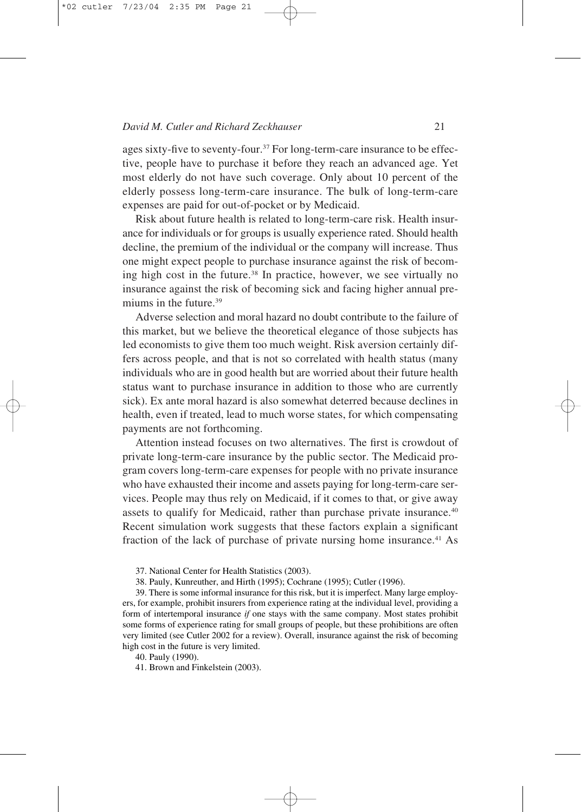ages sixty-five to seventy-four.37 For long-term-care insurance to be effective, people have to purchase it before they reach an advanced age. Yet most elderly do not have such coverage. Only about 10 percent of the elderly possess long-term-care insurance. The bulk of long-term-care expenses are paid for out-of-pocket or by Medicaid.

Risk about future health is related to long-term-care risk. Health insurance for individuals or for groups is usually experience rated. Should health decline, the premium of the individual or the company will increase. Thus one might expect people to purchase insurance against the risk of becoming high cost in the future.38 In practice, however, we see virtually no insurance against the risk of becoming sick and facing higher annual premiums in the future.39

Adverse selection and moral hazard no doubt contribute to the failure of this market, but we believe the theoretical elegance of those subjects has led economists to give them too much weight. Risk aversion certainly differs across people, and that is not so correlated with health status (many individuals who are in good health but are worried about their future health status want to purchase insurance in addition to those who are currently sick). Ex ante moral hazard is also somewhat deterred because declines in health, even if treated, lead to much worse states, for which compensating payments are not forthcoming.

Attention instead focuses on two alternatives. The first is crowdout of private long-term-care insurance by the public sector. The Medicaid program covers long-term-care expenses for people with no private insurance who have exhausted their income and assets paying for long-term-care services. People may thus rely on Medicaid, if it comes to that, or give away assets to qualify for Medicaid, rather than purchase private insurance.40 Recent simulation work suggests that these factors explain a significant fraction of the lack of purchase of private nursing home insurance.<sup>41</sup> As

- 37. National Center for Health Statistics (2003).
- 38. Pauly, Kunreuther, and Hirth (1995); Cochrane (1995); Cutler (1996).

39. There is some informal insurance for this risk, but it is imperfect. Many large employers, for example, prohibit insurers from experience rating at the individual level, providing a form of intertemporal insurance *if* one stays with the same company. Most states prohibit some forms of experience rating for small groups of people, but these prohibitions are often very limited (see Cutler 2002 for a review). Overall, insurance against the risk of becoming high cost in the future is very limited.

40. Pauly (1990).

41. Brown and Finkelstein (2003).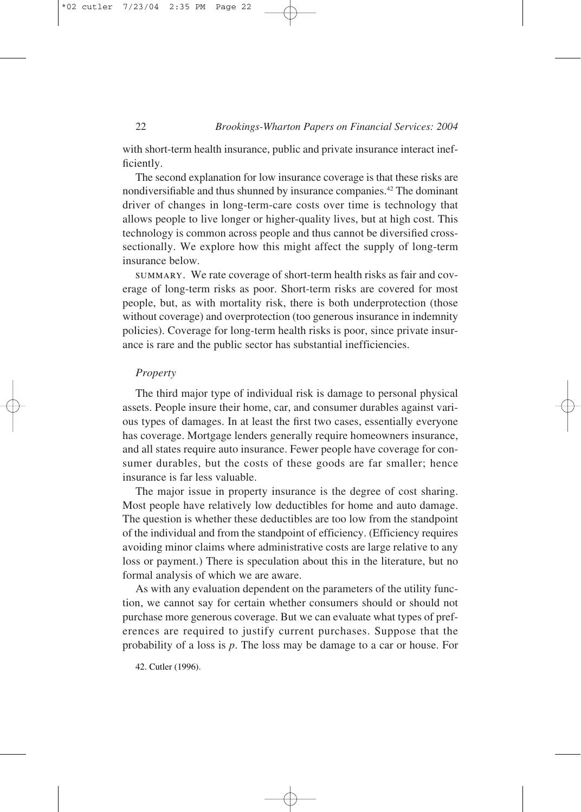with short-term health insurance, public and private insurance interact inefficiently.

The second explanation for low insurance coverage is that these risks are nondiversifiable and thus shunned by insurance companies.<sup>42</sup> The dominant driver of changes in long-term-care costs over time is technology that allows people to live longer or higher-quality lives, but at high cost. This technology is common across people and thus cannot be diversified crosssectionally. We explore how this might affect the supply of long-term insurance below.

summary. We rate coverage of short-term health risks as fair and coverage of long-term risks as poor. Short-term risks are covered for most people, but, as with mortality risk, there is both underprotection (those without coverage) and overprotection (too generous insurance in indemnity policies). Coverage for long-term health risks is poor, since private insurance is rare and the public sector has substantial inefficiencies.

#### *Property*

The third major type of individual risk is damage to personal physical assets. People insure their home, car, and consumer durables against various types of damages. In at least the first two cases, essentially everyone has coverage. Mortgage lenders generally require homeowners insurance, and all states require auto insurance. Fewer people have coverage for consumer durables, but the costs of these goods are far smaller; hence insurance is far less valuable.

The major issue in property insurance is the degree of cost sharing. Most people have relatively low deductibles for home and auto damage. The question is whether these deductibles are too low from the standpoint of the individual and from the standpoint of efficiency. (Efficiency requires avoiding minor claims where administrative costs are large relative to any loss or payment.) There is speculation about this in the literature, but no formal analysis of which we are aware.

As with any evaluation dependent on the parameters of the utility function, we cannot say for certain whether consumers should or should not purchase more generous coverage. But we can evaluate what types of preferences are required to justify current purchases. Suppose that the probability of a loss is *p*. The loss may be damage to a car or house. For

42. Cutler (1996).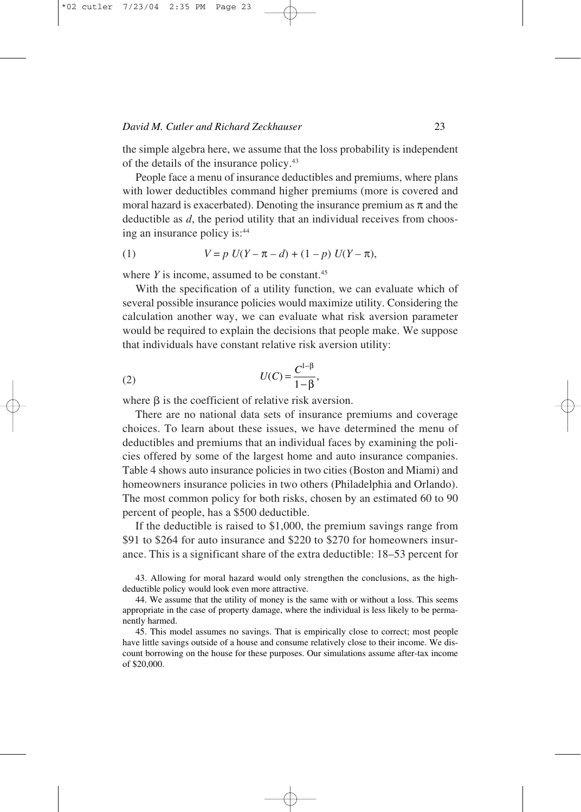the simple algebra here, we assume that the loss probability is independent of the details of the insurance policy.43

People face a menu of insurance deductibles and premiums, where plans with lower deductibles command higher premiums (more is covered and moral hazard is exacerbated). Denoting the insurance premium as  $\pi$  and the deductible as *d*, the period utility that an individual receives from choosing an insurance policy is: <sup>44</sup>

(1) 
$$
V = p U(Y - \pi - d) + (1 - p) U(Y - \pi),
$$

where  $Y$  is income, assumed to be constant.<sup>45</sup>

With the specification of a utility function, we can evaluate which of several possible insurance policies would maximize utility. Considering the calculation another way, we can evaluate what risk aversion parameter would be required to explain the decisions that people make. We suppose that individuals have constant relative risk aversion utility:

(2) 
$$
U(C) = \frac{C^{1-\beta}}{1-\beta},
$$

where  $\beta$  is the coefficient of relative risk aversion.

There are no national data sets of insurance premiums and coverage choices. To learn about these issues, we have determined the menu of deductibles and premiums that an individual faces by examining the policies offered by some of the largest home and auto insurance companies. Table 4 shows auto insurance policies in two cities (Boston and Miami) and homeowners insurance policies in two others (Philadelphia and Orlando). The most common policy for both risks, chosen by an estimated 60 to 90 percent of people, has a \$500 deductible.

If the deductible is raised to \$1,000, the premium savings range from \$91 to \$264 for auto insurance and \$220 to \$270 for homeowners insurance. This is a significant share of the extra deductible: 18–53 percent for

43. Allowing for moral hazard would only strengthen the conclusions, as the highdeductible policy would look even more attractive.

44. We assume that the utility of money is the same with or without a loss. This seems appropriate in the case of property damage, where the individual is less likely to be permanently harmed.

45. This model assumes no savings. That is empirically close to correct; most people have little savings outside of a house and consume relatively close to their income. We discount borrowing on the house for these purposes. Our simulations assume after-tax income of \$20,000.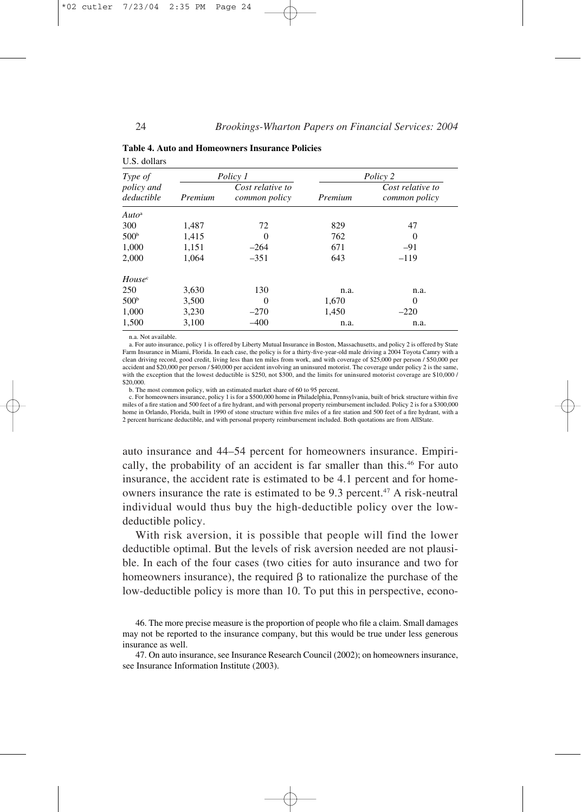| Type of                  |         | Policy 1                          |         | Policy 2                          |
|--------------------------|---------|-----------------------------------|---------|-----------------------------------|
| policy and<br>deductible | Premium | Cost relative to<br>common policy | Premium | Cost relative to<br>common policy |
| $Auto^a$                 |         |                                   |         |                                   |
| 300                      | 1,487   | 72                                | 829     | 47                                |
| 500 <sup>b</sup>         | 1,415   | 0                                 | 762     | 0                                 |
| 1,000                    | 1,151   | $-264$                            | 671     | $-91$                             |
| 2,000                    | 1.064   | $-351$                            | 643     | $-119$                            |
| House <sup>c</sup>       |         |                                   |         |                                   |
| 250                      | 3,630   | 130                               | n.a.    | n.a.                              |
| 500 <sup>b</sup>         | 3,500   | $\Omega$                          | 1,670   | $\Omega$                          |
| 1,000                    | 3,230   | $-270$                            | 1,450   | $-220$                            |
| 1,500                    | 3,100   | $-400$                            | n.a.    | n.a.                              |

| <b>Table 4. Auto and Homeowners Insurance Policies</b> |  |  |
|--------------------------------------------------------|--|--|
| $II \, S$ dollare                                      |  |  |

n.a. Not available.

a. For auto insurance, policy 1 is offered by Liberty Mutual Insurance in Boston, Massachusetts, and policy 2 is offered by State Farm Insurance in Miami, Florida. In each case, the policy is for a thirty-five-year-old male driving a 2004 Toyota Camry with a clean driving record, good credit, living less than ten miles from work, and with coverage of \$25,000 per person / \$50,000 per accident and \$20,000 per person / \$40,000 per accident involving an uninsured motorist. The coverage under policy 2 is the same, with the exception that the lowest deductible is \$250, not \$300, and the limits for uninsured motorist coverage are \$10,000 / \$20,000.

b. The most common policy, with an estimated market share of 60 to 95 percent.

c. For homeowners insurance, policy 1 is for a \$500,000 home in Philadelphia, Pennsylvania, built of brick structure within five miles of a fire station and 500 feet of a fire hydrant, and with personal property reimbursement included. Policy 2 is for a \$300,000 home in Orlando, Florida, built in 1990 of stone structure within five miles of a fire station and 500 feet of a fire hydrant, with a 2 percent hurricane deductible, and with personal property reimbursement included. Both quotations are from AllState.

auto insurance and 44–54 percent for homeowners insurance. Empirically, the probability of an accident is far smaller than this.46 For auto insurance, the accident rate is estimated to be 4.1 percent and for homeowners insurance the rate is estimated to be 9.3 percent.<sup>47</sup> A risk-neutral individual would thus buy the high-deductible policy over the lowdeductible policy.

With risk aversion, it is possible that people will find the lower deductible optimal. But the levels of risk aversion needed are not plausible. In each of the four cases (two cities for auto insurance and two for homeowners insurance), the required  $\beta$  to rationalize the purchase of the low-deductible policy is more than 10. To put this in perspective, econo-

46. The more precise measure is the proportion of people who file a claim. Small damages may not be reported to the insurance company, but this would be true under less generous insurance as well.

47. On auto insurance, see Insurance Research Council (2002); on homeowners insurance, see Insurance Information Institute (2003).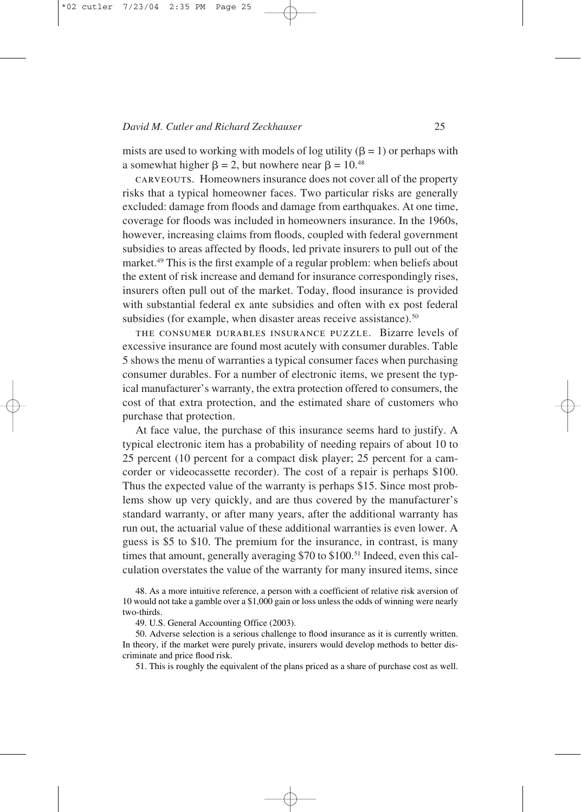mists are used to working with models of log utility  $(\beta = 1)$  or perhaps with a somewhat higher  $\beta = 2$ , but nowhere near  $\beta = 10^{48}$ 

carveouts. Homeowners insurance does not cover all of the property risks that a typical homeowner faces. Two particular risks are generally excluded: damage from floods and damage from earthquakes. At one time, coverage for floods was included in homeowners insurance. In the 1960s, however, increasing claims from floods, coupled with federal government subsidies to areas affected by floods, led private insurers to pull out of the market.<sup>49</sup> This is the first example of a regular problem: when beliefs about the extent of risk increase and demand for insurance correspondingly rises, insurers often pull out of the market. Today, flood insurance is provided with substantial federal ex ante subsidies and often with ex post federal subsidies (for example, when disaster areas receive assistance).<sup>50</sup>

the consumer durables insurance puzzle. Bizarre levels of excessive insurance are found most acutely with consumer durables. Table 5 shows the menu of warranties a typical consumer faces when purchasing consumer durables. For a number of electronic items, we present the typical manufacturer's warranty, the extra protection offered to consumers, the cost of that extra protection, and the estimated share of customers who purchase that protection.

At face value, the purchase of this insurance seems hard to justify. A typical electronic item has a probability of needing repairs of about 10 to 25 percent (10 percent for a compact disk player; 25 percent for a camcorder or videocassette recorder). The cost of a repair is perhaps \$100. Thus the expected value of the warranty is perhaps \$15. Since most problems show up very quickly, and are thus covered by the manufacturer's standard warranty, or after many years, after the additional warranty has run out, the actuarial value of these additional warranties is even lower. A guess is \$5 to \$10. The premium for the insurance, in contrast, is many times that amount, generally averaging \$70 to \$100.<sup>51</sup> Indeed, even this calculation overstates the value of the warranty for many insured items, since

48. As a more intuitive reference, a person with a coefficient of relative risk aversion of 10 would not take a gamble over a \$1,000 gain or loss unless the odds of winning were nearly two-thirds.

49. U.S. General Accounting Office (2003).

50. Adverse selection is a serious challenge to flood insurance as it is currently written. In theory, if the market were purely private, insurers would develop methods to better discriminate and price flood risk.

51. This is roughly the equivalent of the plans priced as a share of purchase cost as well.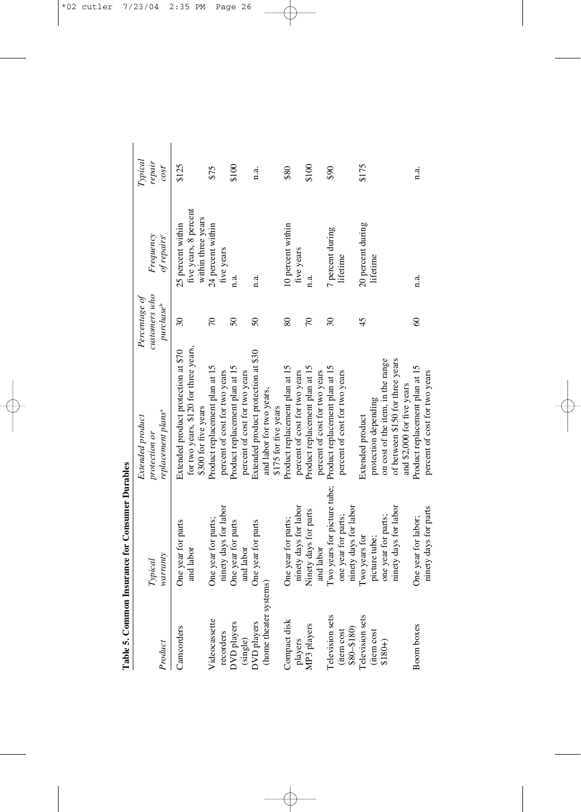|                        |                       | Extended product                                           | Percentage of            |                         | Typical  |
|------------------------|-----------------------|------------------------------------------------------------|--------------------------|-------------------------|----------|
|                        | Typical               | protection or                                              | customers who            | Frequency               | repair   |
| Product                | varranty              | replacement plans <sup>a</sup>                             | purchase <sup>b</sup>    | of repairs <sup>c</sup> | $cost^c$ |
| Camcorders             | One year for parts    | Extended product protection at \$70                        | $\overline{\mathrm{30}}$ | 25 percent within       | \$125    |
|                        | and labor             | for two years, \$120 for three years,                      |                          | five years, 8 percent   |          |
|                        |                       | \$300 for five years                                       |                          | within three years      |          |
| Videocassette          | One year for parts;   | Product replacement plan at 15                             | $\mathcal{L}$            | 24 percent within       | \$75     |
| recorders              | ninety days for labor | percent of cost for two years                              |                          | five years              |          |
| <b>DVD</b> players     | One year for parts    | Product replacement plan at 15                             | $\mathcal{S}$            | n.a.                    | \$100    |
| (single)               | and labor             | percent of cost for two years                              |                          |                         |          |
| <b>DVD</b> players     | One year for parts    | Extended product protection at \$30                        | $50\,$                   | n.a.                    | n.a.     |
| (home theater systems) |                       | and labor for two years,                                   |                          |                         |          |
|                        |                       | \$175 for five years                                       |                          |                         |          |
| Compact disk           | One year for parts;   | Product replacement plan at 15                             | 80                       | 10 percent within       | \$80     |
| players                | ninety days for labor | percent of cost for two years                              |                          | five years              |          |
| MP3 players            | Ninety days for parts | Product replacement plan at 15                             | 70                       | n.a.                    | \$100    |
|                        | and labor             | percent of cost for two years                              |                          |                         |          |
| Television sets        |                       | Two years for picture tube; Product replacement plan at 15 | $\overline{\mathcal{E}}$ | 7 percent during        | 690      |
| (item cost             | one year for parts;   | percent of cost for two years                              |                          | lifetime                |          |
| $$80 - $180$           | ninety days for labor |                                                            |                          |                         |          |
| Television sets        | Two years for         | Extended product                                           | 45                       | 20 percent during       | \$175    |
| (item cost             | picture tube;         | protection depending                                       |                          | lifetime                |          |
| $$180+$                | one year for parts;   | on cost of the item, in the range                          |                          |                         |          |
|                        | ninety days for labor | of between \$150 for three years                           |                          |                         |          |
|                        |                       | and \$2,000 for five years                                 |                          |                         |          |
| Boom boxes             | One year for labor;   | Product replacement plan at 15                             | $\infty$                 | n.a.                    | n.a.     |
|                        | ninety days for parts | percent of cost for two years                              |                          |                         |          |

Table 5. Common Insurance for Consumer Durables **Table 5. Common Insurance for Consumer Durables**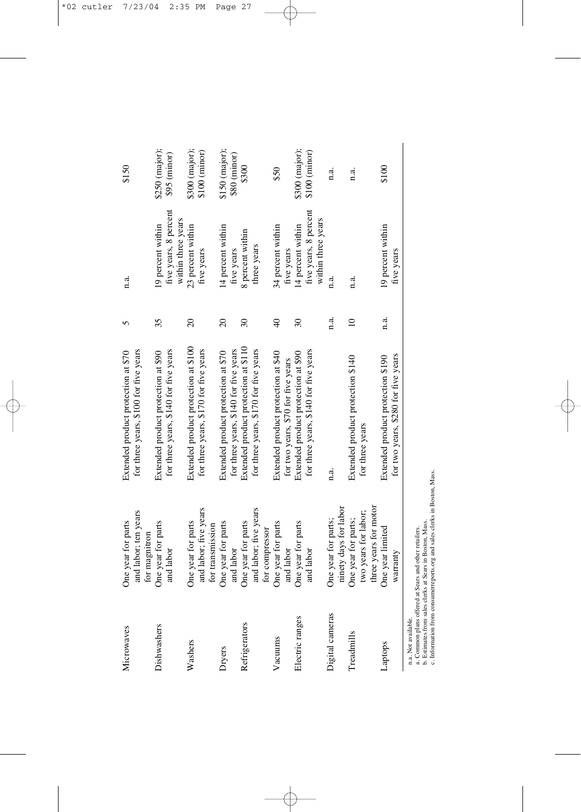| Microwaves           | and labor; ten years<br>One year for parts                           | for three years, \$100 for five years<br>Extended product protection at \$70  | 5                        | n.a.                                                             | \$150                           |
|----------------------|----------------------------------------------------------------------|-------------------------------------------------------------------------------|--------------------------|------------------------------------------------------------------|---------------------------------|
| Dishwashers          | One year for parts<br>for magnitron<br>and labor                     | for three years, \$140 for five years<br>Extended product protection at \$90  | 35                       | five years, 8 percent<br>within three years<br>19 percent within | \$250 (major);<br>$$95$ (minor) |
| Washers              | and labor; five years<br>One year for parts<br>for transmission      | Extended product protection at \$100<br>for three years, \$170 for five years | $\overline{c}$           | 23 percent within<br>five years                                  | \$300 (major);<br>\$100 (minor) |
| Dryers               | One year for parts<br>and labor                                      | for three years, \$140 for five years<br>Extended product protection at \$70  | $\overline{c}$           | 14 percent within<br>five years                                  | \$150 (major);<br>\$80 (minor)  |
| Refrigerators        | and labor; five years<br>One year for parts<br>for compressor        | Extended product protection at \$110<br>for three years, \$170 for five years | $\overline{\mathcal{E}}$ | 8 percent within<br>three years                                  | \$300                           |
| Vacuums              | One year for parts<br>and labor                                      | Extended product protection at \$40<br>for two years, \$70 for five years     | $\frac{1}{2}$            | 34 percent within<br>five years                                  | \$50                            |
| Electric ranges      | One year for parts<br>and labor                                      | for three years, \$140 for five years<br>Extended product protection at \$90  | $\mathcal{S}$            | five years, 8 percent<br>within three years<br>14 percent within | \$300 (major);<br>\$100 (minor) |
| Digital cameras      | ninety days for labor<br>One year for parts;                         | n.a.                                                                          | n.a.                     | n.a.                                                             | n.a.                            |
| Treadmills           | three years for motor<br>two years for labor;<br>One year for parts; | Extended product protection \$140<br>for three years                          | $\overline{10}$          | n.a.                                                             | n.a.                            |
| Laptops              | One year limited<br>warranty                                         | for two years, \$280 for five years<br>Extended product protection \$190      | n.a.                     | 19 percent within<br>five years                                  | \$100                           |
| $\ddot{\phantom{0}}$ |                                                                      |                                                                               |                          |                                                                  |                                 |

n.a. Not available.

a. Common plans offered at Sears and other retailers.

b. Estimates from sales clerks at Sears in Boston, Mass.

n.a. Not available.<br>
a. Common factored at Sears and other retailers.<br>
a. Common from sales clerks at Sears in Boston, Mass.<br>
c. Information from consumerreports.org and sales clerks in Boston, Mass. c. Information from consumerreports.org and sales clerks in Boston, Mass.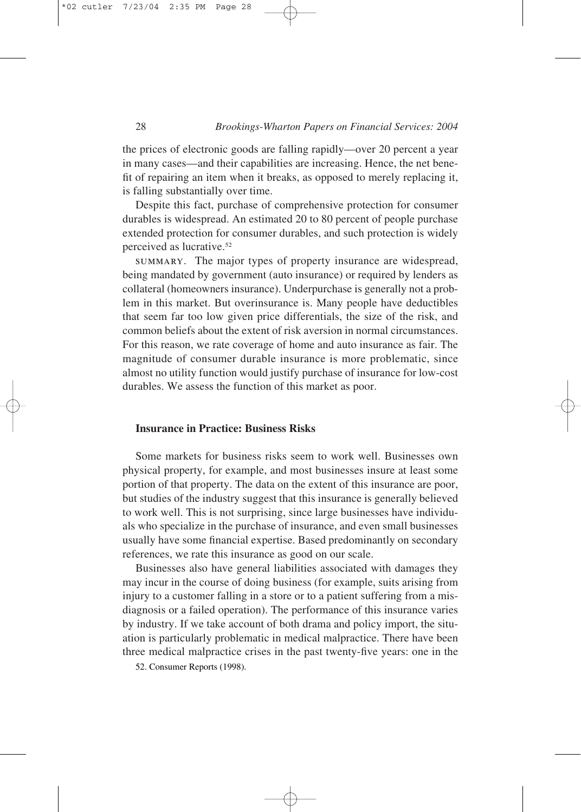the prices of electronic goods are falling rapidly—over 20 percent a year in many cases—and their capabilities are increasing. Hence, the net benefit of repairing an item when it breaks, as opposed to merely replacing it, is falling substantially over time.

Despite this fact, purchase of comprehensive protection for consumer durables is widespread. An estimated 20 to 80 percent of people purchase extended protection for consumer durables, and such protection is widely perceived as lucrative.52

summary. The major types of property insurance are widespread, being mandated by government (auto insurance) or required by lenders as collateral (homeowners insurance). Underpurchase is generally not a problem in this market. But overinsurance is. Many people have deductibles that seem far too low given price differentials, the size of the risk, and common beliefs about the extent of risk aversion in normal circumstances. For this reason, we rate coverage of home and auto insurance as fair. The magnitude of consumer durable insurance is more problematic, since almost no utility function would justify purchase of insurance for low-cost durables. We assess the function of this market as poor.

#### **Insurance in Practice: Business Risks**

Some markets for business risks seem to work well. Businesses own physical property, for example, and most businesses insure at least some portion of that property. The data on the extent of this insurance are poor, but studies of the industry suggest that this insurance is generally believed to work well. This is not surprising, since large businesses have individuals who specialize in the purchase of insurance, and even small businesses usually have some financial expertise. Based predominantly on secondary references, we rate this insurance as good on our scale.

Businesses also have general liabilities associated with damages they may incur in the course of doing business (for example, suits arising from injury to a customer falling in a store or to a patient suffering from a misdiagnosis or a failed operation). The performance of this insurance varies by industry. If we take account of both drama and policy import, the situation is particularly problematic in medical malpractice. There have been three medical malpractice crises in the past twenty-five years: one in the

52. Consumer Reports (1998).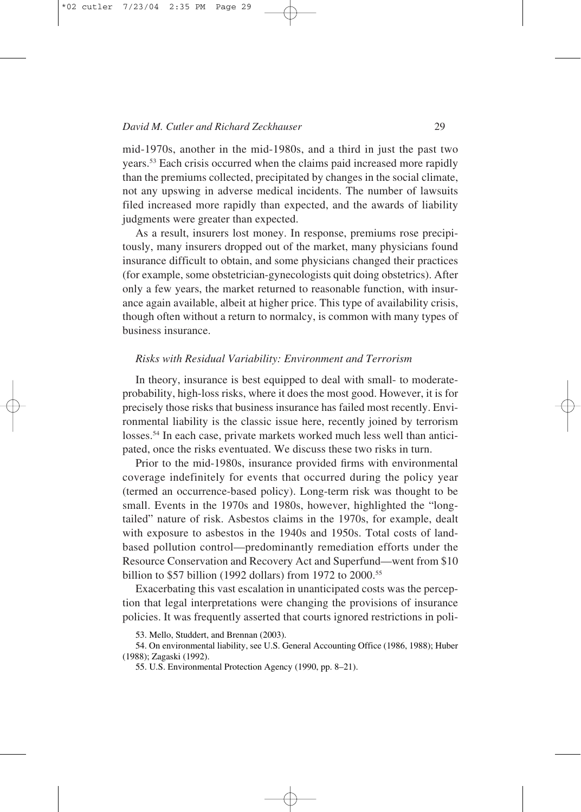mid-1970s, another in the mid-1980s, and a third in just the past two years.53 Each crisis occurred when the claims paid increased more rapidly than the premiums collected, precipitated by changes in the social climate, not any upswing in adverse medical incidents. The number of lawsuits filed increased more rapidly than expected, and the awards of liability judgments were greater than expected.

As a result, insurers lost money. In response, premiums rose precipitously, many insurers dropped out of the market, many physicians found insurance difficult to obtain, and some physicians changed their practices (for example, some obstetrician-gynecologists quit doing obstetrics). After only a few years, the market returned to reasonable function, with insurance again available, albeit at higher price. This type of availability crisis, though often without a return to normalcy, is common with many types of business insurance.

#### *Risks with Residual Variability: Environment and Terrorism*

In theory, insurance is best equipped to deal with small- to moderateprobability, high-loss risks, where it does the most good. However, it is for precisely those risks that business insurance has failed most recently. Environmental liability is the classic issue here, recently joined by terrorism losses.<sup>54</sup> In each case, private markets worked much less well than anticipated, once the risks eventuated. We discuss these two risks in turn.

Prior to the mid-1980s, insurance provided firms with environmental coverage indefinitely for events that occurred during the policy year (termed an occurrence-based policy). Long-term risk was thought to be small. Events in the 1970s and 1980s, however, highlighted the "longtailed" nature of risk. Asbestos claims in the 1970s, for example, dealt with exposure to asbestos in the 1940s and 1950s. Total costs of landbased pollution control—predominantly remediation efforts under the Resource Conservation and Recovery Act and Superfund—went from \$10 billion to \$57 billion (1992 dollars) from 1972 to  $2000$ .<sup>55</sup>

Exacerbating this vast escalation in unanticipated costs was the perception that legal interpretations were changing the provisions of insurance policies. It was frequently asserted that courts ignored restrictions in poli-

53. Mello, Studdert, and Brennan (2003).

54. On environmental liability, see U.S. General Accounting Office (1986, 1988); Huber (1988); Zagaski (1992).

55. U.S. Environmental Protection Agency (1990, pp. 8–21).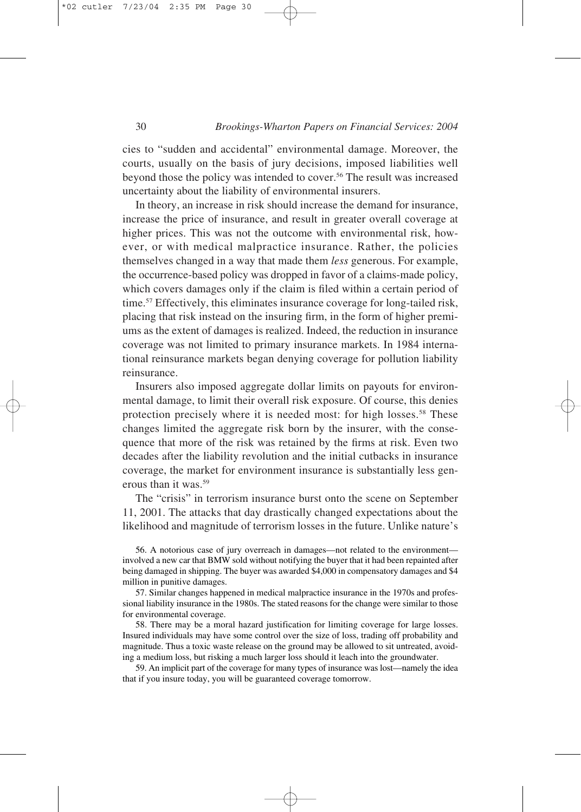cies to "sudden and accidental" environmental damage. Moreover, the courts, usually on the basis of jury decisions, imposed liabilities well beyond those the policy was intended to cover.<sup>56</sup> The result was increased uncertainty about the liability of environmental insurers.

In theory, an increase in risk should increase the demand for insurance, increase the price of insurance, and result in greater overall coverage at higher prices. This was not the outcome with environmental risk, however, or with medical malpractice insurance. Rather, the policies themselves changed in a way that made them *less* generous. For example, the occurrence-based policy was dropped in favor of a claims-made policy, which covers damages only if the claim is filed within a certain period of time.57 Effectively, this eliminates insurance coverage for long-tailed risk, placing that risk instead on the insuring firm, in the form of higher premiums as the extent of damages is realized. Indeed, the reduction in insurance coverage was not limited to primary insurance markets. In 1984 international reinsurance markets began denying coverage for pollution liability reinsurance.

Insurers also imposed aggregate dollar limits on payouts for environmental damage, to limit their overall risk exposure. Of course, this denies protection precisely where it is needed most: for high losses.58 These changes limited the aggregate risk born by the insurer, with the consequence that more of the risk was retained by the firms at risk. Even two decades after the liability revolution and the initial cutbacks in insurance coverage, the market for environment insurance is substantially less generous than it was.59

The "crisis" in terrorism insurance burst onto the scene on September 11, 2001. The attacks that day drastically changed expectations about the likelihood and magnitude of terrorism losses in the future. Unlike nature's

56. A notorious case of jury overreach in damages—not related to the environment involved a new car that BMW sold without notifying the buyer that it had been repainted after being damaged in shipping. The buyer was awarded \$4,000 in compensatory damages and \$4 million in punitive damages.

57. Similar changes happened in medical malpractice insurance in the 1970s and professional liability insurance in the 1980s. The stated reasons for the change were similar to those for environmental coverage.

58. There may be a moral hazard justification for limiting coverage for large losses. Insured individuals may have some control over the size of loss, trading off probability and magnitude. Thus a toxic waste release on the ground may be allowed to sit untreated, avoiding a medium loss, but risking a much larger loss should it leach into the groundwater.

59. An implicit part of the coverage for many types of insurance was lost—namely the idea that if you insure today, you will be guaranteed coverage tomorrow.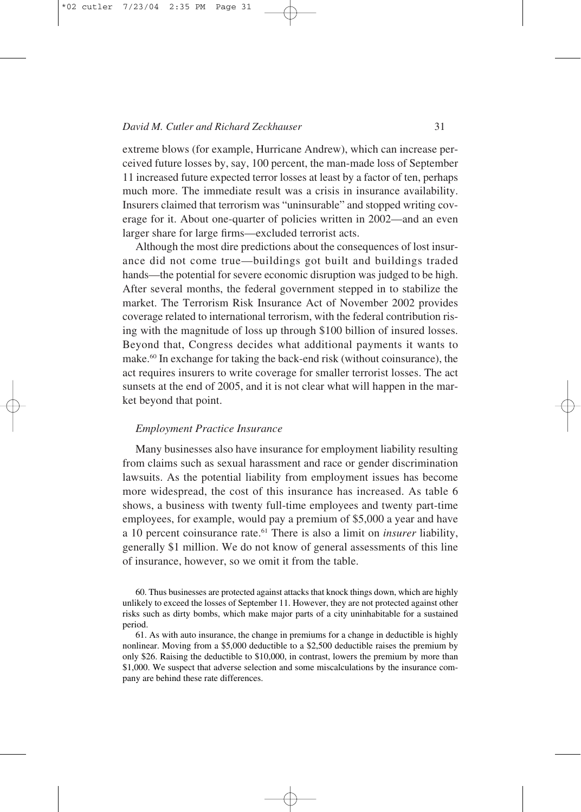extreme blows (for example, Hurricane Andrew), which can increase perceived future losses by, say, 100 percent, the man-made loss of September 11 increased future expected terror losses at least by a factor of ten, perhaps much more. The immediate result was a crisis in insurance availability. Insurers claimed that terrorism was "uninsurable" and stopped writing coverage for it. About one-quarter of policies written in 2002—and an even larger share for large firms—excluded terrorist acts.

Although the most dire predictions about the consequences of lost insurance did not come true—buildings got built and buildings traded hands—the potential for severe economic disruption was judged to be high. After several months, the federal government stepped in to stabilize the market. The Terrorism Risk Insurance Act of November 2002 provides coverage related to international terrorism, with the federal contribution rising with the magnitude of loss up through \$100 billion of insured losses. Beyond that, Congress decides what additional payments it wants to make.60 In exchange for taking the back-end risk (without coinsurance), the act requires insurers to write coverage for smaller terrorist losses. The act sunsets at the end of 2005, and it is not clear what will happen in the market beyond that point.

#### *Employment Practice Insurance*

Many businesses also have insurance for employment liability resulting from claims such as sexual harassment and race or gender discrimination lawsuits. As the potential liability from employment issues has become more widespread, the cost of this insurance has increased. As table 6 shows, a business with twenty full-time employees and twenty part-time employees, for example, would pay a premium of \$5,000 a year and have a 10 percent coinsurance rate.61 There is also a limit on *insurer* liability, generally \$1 million. We do not know of general assessments of this line of insurance, however, so we omit it from the table.

60. Thus businesses are protected against attacks that knock things down, which are highly unlikely to exceed the losses of September 11. However, they are not protected against other risks such as dirty bombs, which make major parts of a city uninhabitable for a sustained period.

61. As with auto insurance, the change in premiums for a change in deductible is highly nonlinear. Moving from a \$5,000 deductible to a \$2,500 deductible raises the premium by only \$26. Raising the deductible to \$10,000, in contrast, lowers the premium by more than \$1,000. We suspect that adverse selection and some miscalculations by the insurance company are behind these rate differences.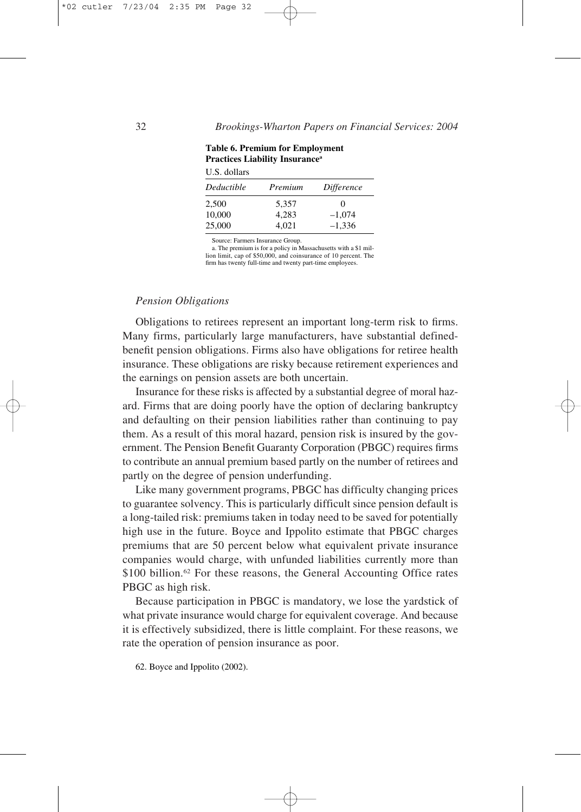| U.S. dollars      |         |            |
|-------------------|---------|------------|
| <i>Deductible</i> | Premium | Difference |
| 2.500             | 5.357   | $\theta$   |
| 10.000            | 4.283   | $-1.074$   |
| 25,000            | 4.021   | $-1,336$   |

#### **Table 6. Premium for Employment Practices Liability Insurancea**

Source: Farmers Insurance Group.

a. The premium is for a policy in Massachusetts with a \$1 million limit, cap of \$50,000, and coinsurance of 10 percent. The firm has twenty full-time and twenty part-time employees.

#### *Pension Obligations*

Obligations to retirees represent an important long-term risk to firms. Many firms, particularly large manufacturers, have substantial definedbenefit pension obligations. Firms also have obligations for retiree health insurance. These obligations are risky because retirement experiences and the earnings on pension assets are both uncertain.

Insurance for these risks is affected by a substantial degree of moral hazard. Firms that are doing poorly have the option of declaring bankruptcy and defaulting on their pension liabilities rather than continuing to pay them. As a result of this moral hazard, pension risk is insured by the government. The Pension Benefit Guaranty Corporation (PBGC) requires firms to contribute an annual premium based partly on the number of retirees and partly on the degree of pension underfunding.

Like many government programs, PBGC has difficulty changing prices to guarantee solvency. This is particularly difficult since pension default is a long-tailed risk: premiums taken in today need to be saved for potentially high use in the future. Boyce and Ippolito estimate that PBGC charges premiums that are 50 percent below what equivalent private insurance companies would charge, with unfunded liabilities currently more than \$100 billion.<sup>62</sup> For these reasons, the General Accounting Office rates PBGC as high risk.

Because participation in PBGC is mandatory, we lose the yardstick of what private insurance would charge for equivalent coverage. And because it is effectively subsidized, there is little complaint. For these reasons, we rate the operation of pension insurance as poor.

62. Boyce and Ippolito (2002).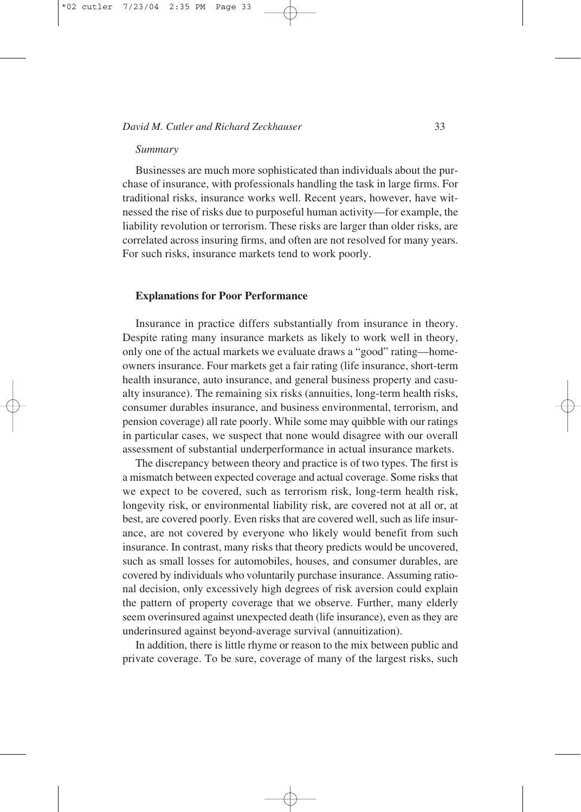#### *Summary*

Businesses are much more sophisticated than individuals about the purchase of insurance, with professionals handling the task in large firms. For traditional risks, insurance works well. Recent years, however, have witnessed the rise of risks due to purposeful human activity—for example, the liability revolution or terrorism. These risks are larger than older risks, are correlated across insuring firms, and often are not resolved for many years. For such risks, insurance markets tend to work poorly.

#### **Explanations for Poor Performance**

Insurance in practice differs substantially from insurance in theory. Despite rating many insurance markets as likely to work well in theory, only one of the actual markets we evaluate draws a "good" rating—homeowners insurance. Four markets get a fair rating (life insurance, short-term health insurance, auto insurance, and general business property and casualty insurance). The remaining six risks (annuities, long-term health risks, consumer durables insurance, and business environmental, terrorism, and pension coverage) all rate poorly. While some may quibble with our ratings in particular cases, we suspect that none would disagree with our overall assessment of substantial underperformance in actual insurance markets.

The discrepancy between theory and practice is of two types. The first is a mismatch between expected coverage and actual coverage. Some risks that we expect to be covered, such as terrorism risk, long-term health risk, longevity risk, or environmental liability risk, are covered not at all or, at best, are covered poorly. Even risks that are covered well, such as life insurance, are not covered by everyone who likely would benefit from such insurance. In contrast, many risks that theory predicts would be uncovered, such as small losses for automobiles, houses, and consumer durables, are covered by individuals who voluntarily purchase insurance. Assuming rational decision, only excessively high degrees of risk aversion could explain the pattern of property coverage that we observe. Further, many elderly seem overinsured against unexpected death (life insurance), even as they are underinsured against beyond-average survival (annuitization).

In addition, there is little rhyme or reason to the mix between public and private coverage. To be sure, coverage of many of the largest risks, such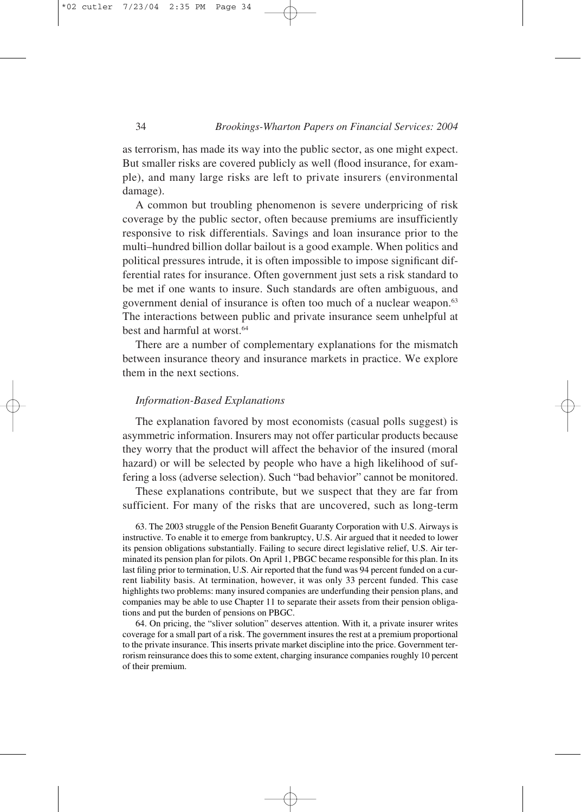as terrorism, has made its way into the public sector, as one might expect. But smaller risks are covered publicly as well (flood insurance, for example), and many large risks are left to private insurers (environmental damage).

A common but troubling phenomenon is severe underpricing of risk coverage by the public sector, often because premiums are insufficiently responsive to risk differentials. Savings and loan insurance prior to the multi–hundred billion dollar bailout is a good example. When politics and political pressures intrude, it is often impossible to impose significant differential rates for insurance. Often government just sets a risk standard to be met if one wants to insure. Such standards are often ambiguous, and government denial of insurance is often too much of a nuclear weapon.<sup>63</sup> The interactions between public and private insurance seem unhelpful at best and harmful at worst.<sup>64</sup>

There are a number of complementary explanations for the mismatch between insurance theory and insurance markets in practice. We explore them in the next sections.

#### *Information-Based Explanations*

The explanation favored by most economists (casual polls suggest) is asymmetric information. Insurers may not offer particular products because they worry that the product will affect the behavior of the insured (moral hazard) or will be selected by people who have a high likelihood of suffering a loss (adverse selection). Such "bad behavior" cannot be monitored.

These explanations contribute, but we suspect that they are far from sufficient. For many of the risks that are uncovered, such as long-term

63. The 2003 struggle of the Pension Benefit Guaranty Corporation with U.S. Airways is instructive. To enable it to emerge from bankruptcy, U.S. Air argued that it needed to lower its pension obligations substantially. Failing to secure direct legislative relief, U.S. Air terminated its pension plan for pilots. On April 1, PBGC became responsible for this plan. In its last filing prior to termination, U.S. Air reported that the fund was 94 percent funded on a current liability basis. At termination, however, it was only 33 percent funded. This case highlights two problems: many insured companies are underfunding their pension plans, and companies may be able to use Chapter 11 to separate their assets from their pension obligations and put the burden of pensions on PBGC.

64. On pricing, the "sliver solution" deserves attention. With it, a private insurer writes coverage for a small part of a risk. The government insures the rest at a premium proportional to the private insurance. This inserts private market discipline into the price. Government terrorism reinsurance does this to some extent, charging insurance companies roughly 10 percent of their premium.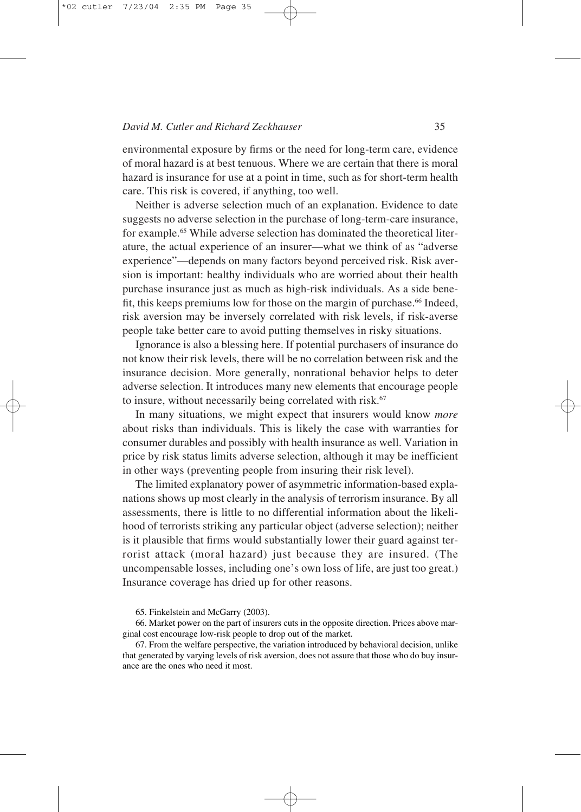environmental exposure by firms or the need for long-term care, evidence of moral hazard is at best tenuous. Where we are certain that there is moral hazard is insurance for use at a point in time, such as for short-term health care. This risk is covered, if anything, too well.

Neither is adverse selection much of an explanation. Evidence to date suggests no adverse selection in the purchase of long-term-care insurance, for example.<sup>65</sup> While adverse selection has dominated the theoretical literature, the actual experience of an insurer—what we think of as "adverse experience"—depends on many factors beyond perceived risk. Risk aversion is important: healthy individuals who are worried about their health purchase insurance just as much as high-risk individuals. As a side benefit, this keeps premiums low for those on the margin of purchase.<sup>66</sup> Indeed, risk aversion may be inversely correlated with risk levels, if risk-averse people take better care to avoid putting themselves in risky situations.

Ignorance is also a blessing here. If potential purchasers of insurance do not know their risk levels, there will be no correlation between risk and the insurance decision. More generally, nonrational behavior helps to deter adverse selection. It introduces many new elements that encourage people to insure, without necessarily being correlated with risk.<sup>67</sup>

In many situations, we might expect that insurers would know *more* about risks than individuals. This is likely the case with warranties for consumer durables and possibly with health insurance as well. Variation in price by risk status limits adverse selection, although it may be inefficient in other ways (preventing people from insuring their risk level).

The limited explanatory power of asymmetric information-based explanations shows up most clearly in the analysis of terrorism insurance. By all assessments, there is little to no differential information about the likelihood of terrorists striking any particular object (adverse selection); neither is it plausible that firms would substantially lower their guard against terrorist attack (moral hazard) just because they are insured. (The uncompensable losses, including one's own loss of life, are just too great.) Insurance coverage has dried up for other reasons.

65. Finkelstein and McGarry (2003).

66. Market power on the part of insurers cuts in the opposite direction. Prices above marginal cost encourage low-risk people to drop out of the market.

67. From the welfare perspective, the variation introduced by behavioral decision, unlike that generated by varying levels of risk aversion, does not assure that those who do buy insurance are the ones who need it most.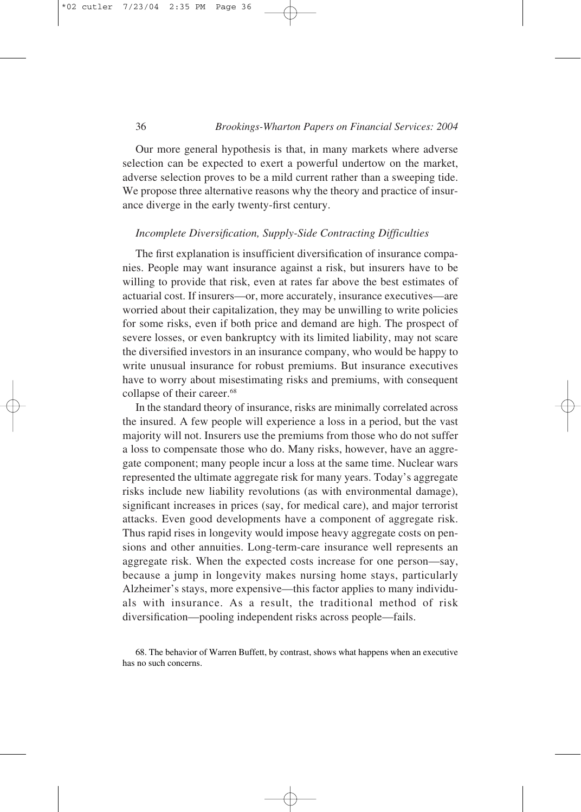Our more general hypothesis is that, in many markets where adverse selection can be expected to exert a powerful undertow on the market, adverse selection proves to be a mild current rather than a sweeping tide. We propose three alternative reasons why the theory and practice of insurance diverge in the early twenty-first century.

#### *Incomplete Diversification, Supply-Side Contracting Difficulties*

The first explanation is insufficient diversification of insurance companies. People may want insurance against a risk, but insurers have to be willing to provide that risk, even at rates far above the best estimates of actuarial cost. If insurers—or, more accurately, insurance executives—are worried about their capitalization, they may be unwilling to write policies for some risks, even if both price and demand are high. The prospect of severe losses, or even bankruptcy with its limited liability, may not scare the diversified investors in an insurance company, who would be happy to write unusual insurance for robust premiums. But insurance executives have to worry about misestimating risks and premiums, with consequent collapse of their career.<sup>68</sup>

In the standard theory of insurance, risks are minimally correlated across the insured. A few people will experience a loss in a period, but the vast majority will not. Insurers use the premiums from those who do not suffer a loss to compensate those who do. Many risks, however, have an aggregate component; many people incur a loss at the same time. Nuclear wars represented the ultimate aggregate risk for many years. Today's aggregate risks include new liability revolutions (as with environmental damage), significant increases in prices (say, for medical care), and major terrorist attacks. Even good developments have a component of aggregate risk. Thus rapid rises in longevity would impose heavy aggregate costs on pensions and other annuities. Long-term-care insurance well represents an aggregate risk. When the expected costs increase for one person—say, because a jump in longevity makes nursing home stays, particularly Alzheimer's stays, more expensive—this factor applies to many individuals with insurance. As a result, the traditional method of risk diversification—pooling independent risks across people—fails.

68. The behavior of Warren Buffett, by contrast, shows what happens when an executive has no such concerns.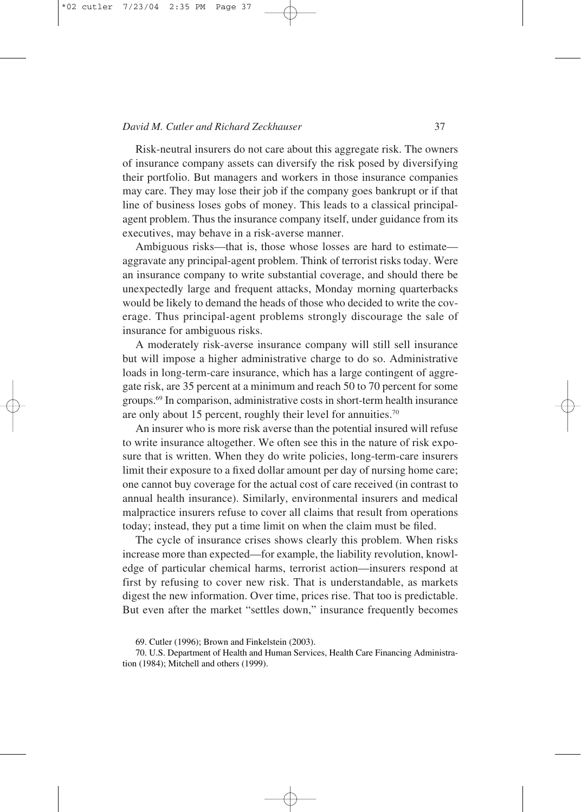#### *David M. Cutler and Richard Zeckhauser* 37

Risk-neutral insurers do not care about this aggregate risk. The owners of insurance company assets can diversify the risk posed by diversifying their portfolio. But managers and workers in those insurance companies may care. They may lose their job if the company goes bankrupt or if that line of business loses gobs of money. This leads to a classical principalagent problem. Thus the insurance company itself, under guidance from its executives, may behave in a risk-averse manner.

Ambiguous risks—that is, those whose losses are hard to estimate aggravate any principal-agent problem. Think of terrorist risks today. Were an insurance company to write substantial coverage, and should there be unexpectedly large and frequent attacks, Monday morning quarterbacks would be likely to demand the heads of those who decided to write the coverage. Thus principal-agent problems strongly discourage the sale of insurance for ambiguous risks.

A moderately risk-averse insurance company will still sell insurance but will impose a higher administrative charge to do so. Administrative loads in long-term-care insurance, which has a large contingent of aggregate risk, are 35 percent at a minimum and reach 50 to 70 percent for some groups.69 In comparison, administrative costs in short-term health insurance are only about 15 percent, roughly their level for annuities.70

An insurer who is more risk averse than the potential insured will refuse to write insurance altogether. We often see this in the nature of risk exposure that is written. When they do write policies, long-term-care insurers limit their exposure to a fixed dollar amount per day of nursing home care; one cannot buy coverage for the actual cost of care received (in contrast to annual health insurance). Similarly, environmental insurers and medical malpractice insurers refuse to cover all claims that result from operations today; instead, they put a time limit on when the claim must be filed.

The cycle of insurance crises shows clearly this problem. When risks increase more than expected—for example, the liability revolution, knowledge of particular chemical harms, terrorist action—insurers respond at first by refusing to cover new risk. That is understandable, as markets digest the new information. Over time, prices rise. That too is predictable. But even after the market "settles down," insurance frequently becomes

<sup>69.</sup> Cutler (1996); Brown and Finkelstein (2003).

<sup>70.</sup> U.S. Department of Health and Human Services, Health Care Financing Administration (1984); Mitchell and others (1999).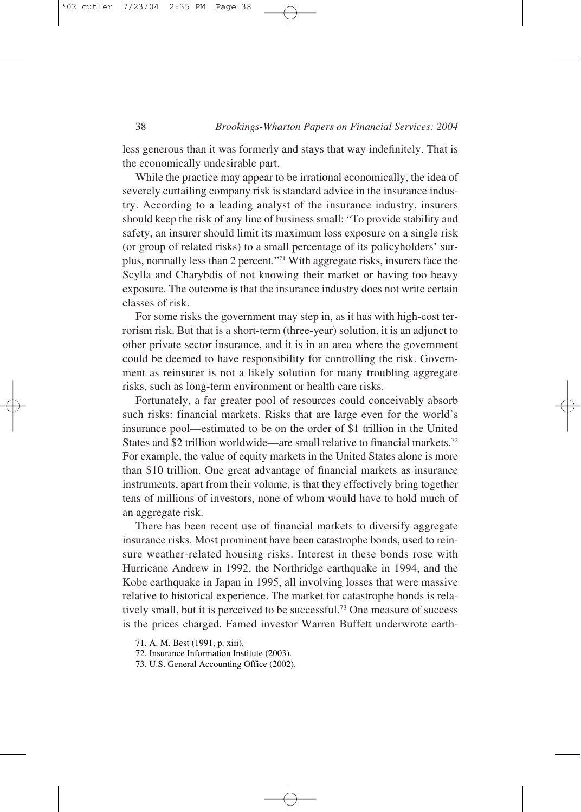less generous than it was formerly and stays that way indefinitely. That is the economically undesirable part.

While the practice may appear to be irrational economically, the idea of severely curtailing company risk is standard advice in the insurance industry. According to a leading analyst of the insurance industry, insurers should keep the risk of any line of business small: "To provide stability and safety, an insurer should limit its maximum loss exposure on a single risk (or group of related risks) to a small percentage of its policyholders' surplus, normally less than 2 percent."71 With aggregate risks, insurers face the Scylla and Charybdis of not knowing their market or having too heavy exposure. The outcome is that the insurance industry does not write certain classes of risk.

For some risks the government may step in, as it has with high-cost terrorism risk. But that is a short-term (three-year) solution, it is an adjunct to other private sector insurance, and it is in an area where the government could be deemed to have responsibility for controlling the risk. Government as reinsurer is not a likely solution for many troubling aggregate risks, such as long-term environment or health care risks.

Fortunately, a far greater pool of resources could conceivably absorb such risks: financial markets. Risks that are large even for the world's insurance pool—estimated to be on the order of \$1 trillion in the United States and \$2 trillion worldwide—are small relative to financial markets.<sup>72</sup> For example, the value of equity markets in the United States alone is more than \$10 trillion. One great advantage of financial markets as insurance instruments, apart from their volume, is that they effectively bring together tens of millions of investors, none of whom would have to hold much of an aggregate risk.

There has been recent use of financial markets to diversify aggregate insurance risks. Most prominent have been catastrophe bonds, used to reinsure weather-related housing risks. Interest in these bonds rose with Hurricane Andrew in 1992, the Northridge earthquake in 1994, and the Kobe earthquake in Japan in 1995, all involving losses that were massive relative to historical experience. The market for catastrophe bonds is relatively small, but it is perceived to be successful.<sup>73</sup> One measure of success is the prices charged. Famed investor Warren Buffett underwrote earth-

72. Insurance Information Institute (2003).

73. U.S. General Accounting Office (2002).

<sup>71.</sup> A. M. Best (1991, p. xiii).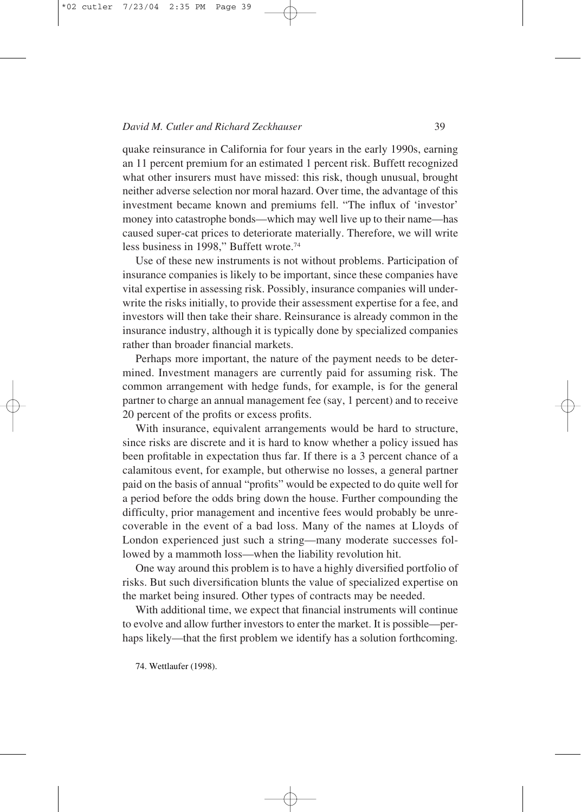quake reinsurance in California for four years in the early 1990s, earning an 11 percent premium for an estimated 1 percent risk. Buffett recognized what other insurers must have missed: this risk, though unusual, brought neither adverse selection nor moral hazard. Over time, the advantage of this investment became known and premiums fell. "The influx of 'investor' money into catastrophe bonds—which may well live up to their name—has caused super-cat prices to deteriorate materially. Therefore, we will write less business in 1998," Buffett wrote.74

Use of these new instruments is not without problems. Participation of insurance companies is likely to be important, since these companies have vital expertise in assessing risk. Possibly, insurance companies will underwrite the risks initially, to provide their assessment expertise for a fee, and investors will then take their share. Reinsurance is already common in the insurance industry, although it is typically done by specialized companies rather than broader financial markets.

Perhaps more important, the nature of the payment needs to be determined. Investment managers are currently paid for assuming risk. The common arrangement with hedge funds, for example, is for the general partner to charge an annual management fee (say, 1 percent) and to receive 20 percent of the profits or excess profits.

With insurance, equivalent arrangements would be hard to structure, since risks are discrete and it is hard to know whether a policy issued has been profitable in expectation thus far. If there is a 3 percent chance of a calamitous event, for example, but otherwise no losses, a general partner paid on the basis of annual "profits" would be expected to do quite well for a period before the odds bring down the house. Further compounding the difficulty, prior management and incentive fees would probably be unrecoverable in the event of a bad loss. Many of the names at Lloyds of London experienced just such a string—many moderate successes followed by a mammoth loss—when the liability revolution hit.

One way around this problem is to have a highly diversified portfolio of risks. But such diversification blunts the value of specialized expertise on the market being insured. Other types of contracts may be needed.

With additional time, we expect that financial instruments will continue to evolve and allow further investors to enter the market. It is possible—perhaps likely—that the first problem we identify has a solution forthcoming.

74. Wettlaufer (1998).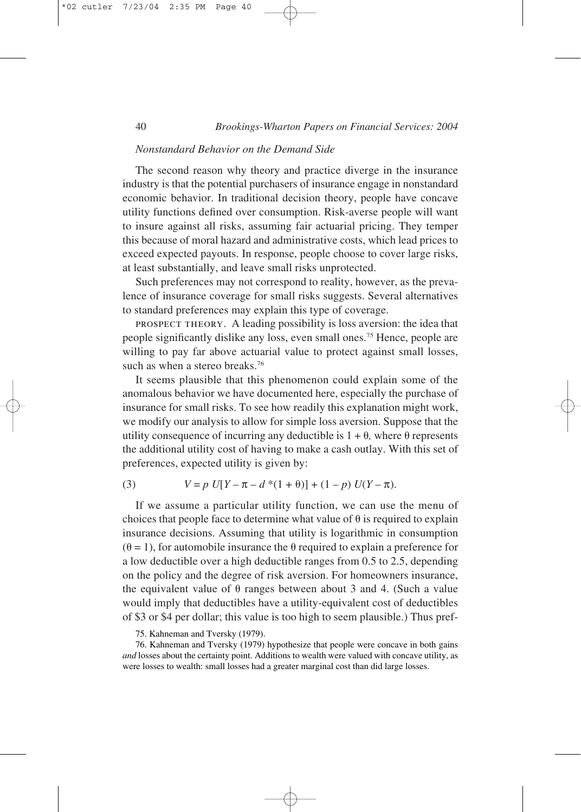#### *Nonstandard Behavior on the Demand Side*

The second reason why theory and practice diverge in the insurance industry is that the potential purchasers of insurance engage in nonstandard economic behavior. In traditional decision theory, people have concave utility functions defined over consumption. Risk-averse people will want to insure against all risks, assuming fair actuarial pricing. They temper this because of moral hazard and administrative costs, which lead prices to exceed expected payouts. In response, people choose to cover large risks, at least substantially, and leave small risks unprotected.

Such preferences may not correspond to reality, however, as the prevalence of insurance coverage for small risks suggests. Several alternatives to standard preferences may explain this type of coverage.

prospect theory. A leading possibility is loss aversion: the idea that people significantly dislike any loss, even small ones.75 Hence, people are willing to pay far above actuarial value to protect against small losses, such as when a stereo breaks.<sup>76</sup>

It seems plausible that this phenomenon could explain some of the anomalous behavior we have documented here, especially the purchase of insurance for small risks. To see how readily this explanation might work, we modify our analysis to allow for simple loss aversion. Suppose that the utility consequence of incurring any deductible is  $1 + \theta$ , where  $\theta$  represents the additional utility cost of having to make a cash outlay. With this set of preferences, expected utility is given by:

(3) 
$$
V = p U[Y - \pi - d * (1 + \theta)] + (1 - p) U(Y - \pi).
$$

If we assume a particular utility function, we can use the menu of choices that people face to determine what value of  $\theta$  is required to explain insurance decisions. Assuming that utility is logarithmic in consumption  $(\theta = 1)$ , for automobile insurance the  $\theta$  required to explain a preference for a low deductible over a high deductible ranges from 0.5 to 2.5, depending on the policy and the degree of risk aversion. For homeowners insurance, the equivalent value of  $\theta$  ranges between about 3 and 4. (Such a value would imply that deductibles have a utility-equivalent cost of deductibles of \$3 or \$4 per dollar; this value is too high to seem plausible.) Thus pref-

75. Kahneman and Tversky (1979).

76. Kahneman and Tversky (1979) hypothesize that people were concave in both gains *and* losses about the certainty point. Additions to wealth were valued with concave utility, as were losses to wealth: small losses had a greater marginal cost than did large losses.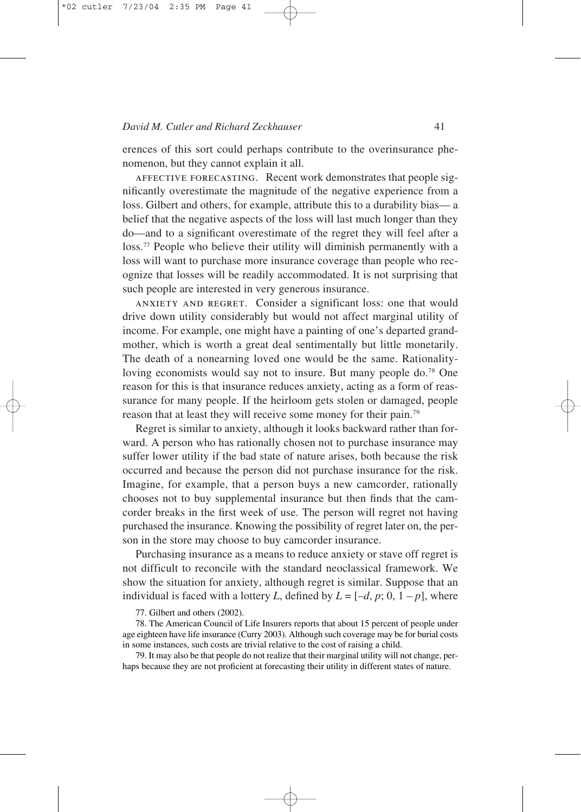erences of this sort could perhaps contribute to the overinsurance phenomenon, but they cannot explain it all.

affective forecasting. Recent work demonstrates that people significantly overestimate the magnitude of the negative experience from a loss. Gilbert and others, for example, attribute this to a durability bias— a belief that the negative aspects of the loss will last much longer than they do—and to a significant overestimate of the regret they will feel after a loss.<sup>77</sup> People who believe their utility will diminish permanently with a loss will want to purchase more insurance coverage than people who recognize that losses will be readily accommodated. It is not surprising that such people are interested in very generous insurance.

anxiety and regret. Consider a significant loss: one that would drive down utility considerably but would not affect marginal utility of income. For example, one might have a painting of one's departed grandmother, which is worth a great deal sentimentally but little monetarily. The death of a nonearning loved one would be the same. Rationalityloving economists would say not to insure. But many people do.<sup>78</sup> One reason for this is that insurance reduces anxiety, acting as a form of reassurance for many people. If the heirloom gets stolen or damaged, people reason that at least they will receive some money for their pain.79

Regret is similar to anxiety, although it looks backward rather than forward. A person who has rationally chosen not to purchase insurance may suffer lower utility if the bad state of nature arises, both because the risk occurred and because the person did not purchase insurance for the risk. Imagine, for example, that a person buys a new camcorder, rationally chooses not to buy supplemental insurance but then finds that the camcorder breaks in the first week of use. The person will regret not having purchased the insurance. Knowing the possibility of regret later on, the person in the store may choose to buy camcorder insurance.

Purchasing insurance as a means to reduce anxiety or stave off regret is not difficult to reconcile with the standard neoclassical framework. We show the situation for anxiety, although regret is similar. Suppose that an individual is faced with a lottery *L*, defined by  $L = [-d, p; 0, 1-p]$ , where

#### 77. Gilbert and others (2002).

78. The American Council of Life Insurers reports that about 15 percent of people under age eighteen have life insurance (Curry 2003). Although such coverage may be for burial costs in some instances, such costs are trivial relative to the cost of raising a child.

79. It may also be that people do not realize that their marginal utility will not change, perhaps because they are not proficient at forecasting their utility in different states of nature.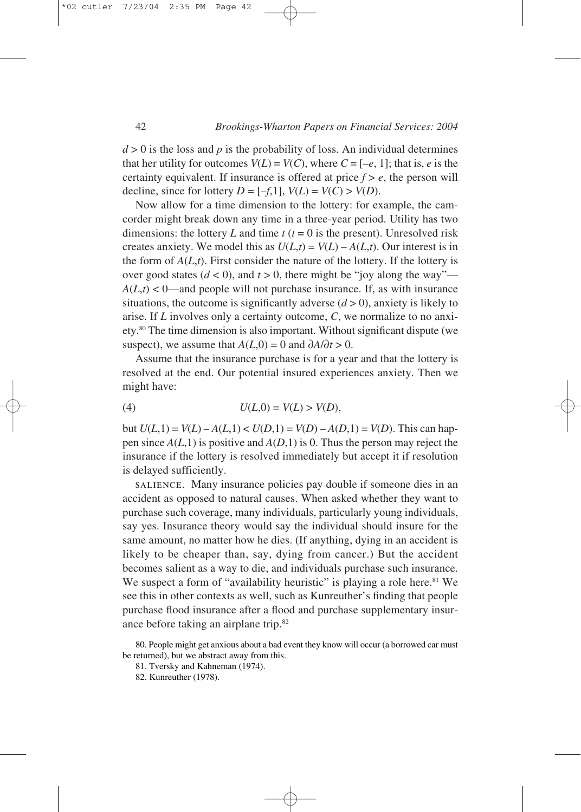$d > 0$  is the loss and *p* is the probability of loss. An individual determines that her utility for outcomes  $V(L) = V(C)$ , where  $C = [-e, 1]$ ; that is, *e* is the certainty equivalent. If insurance is offered at price  $f > e$ , the person will decline, since for lottery  $D = [-f, 1]$ ,  $V(L) = V(C) > V(D)$ .

Now allow for a time dimension to the lottery: for example, the camcorder might break down any time in a three-year period. Utility has two dimensions: the lottery *L* and time  $t$  ( $t = 0$  is the present). Unresolved risk creates anxiety. We model this as  $U(L,t) = V(L) - A(L,t)$ . Our interest is in the form of  $A(L,t)$ . First consider the nature of the lottery. If the lottery is over good states  $(d < 0)$ , and  $t > 0$ , there might be "joy along the way"—  $A(L,t)$  < 0—and people will not purchase insurance. If, as with insurance situations, the outcome is significantly adverse  $(d > 0)$ , anxiety is likely to arise. If *L* involves only a certainty outcome, *C*, we normalize to no anxiety.80 The time dimension is also important. Without significant dispute (we suspect), we assume that  $A(L,0) = 0$  and  $\partial A/\partial t > 0$ .

Assume that the insurance purchase is for a year and that the lottery is resolved at the end. Our potential insured experiences anxiety. Then we might have:

(4) 
$$
U(L,0) = V(L) > V(D),
$$

 $b$ ut  $U(L,1) = V(L) - A(L,1) < U(D,1) = V(D) - A(D,1) = V(D)$ . This can happen since *A*(*L*,1) is positive and *A*(*D*,1) is 0. Thus the person may reject the insurance if the lottery is resolved immediately but accept it if resolution is delayed sufficiently.

salience. Many insurance policies pay double if someone dies in an accident as opposed to natural causes. When asked whether they want to purchase such coverage, many individuals, particularly young individuals, say yes. Insurance theory would say the individual should insure for the same amount, no matter how he dies. (If anything, dying in an accident is likely to be cheaper than, say, dying from cancer.) But the accident becomes salient as a way to die, and individuals purchase such insurance. We suspect a form of "availability heuristic" is playing a role here.<sup>81</sup> We see this in other contexts as well, such as Kunreuther's finding that people purchase flood insurance after a flood and purchase supplementary insurance before taking an airplane trip.82

80. People might get anxious about a bad event they know will occur (a borrowed car must be returned), but we abstract away from this.

81. Tversky and Kahneman (1974).

<sup>82.</sup> Kunreuther (1978).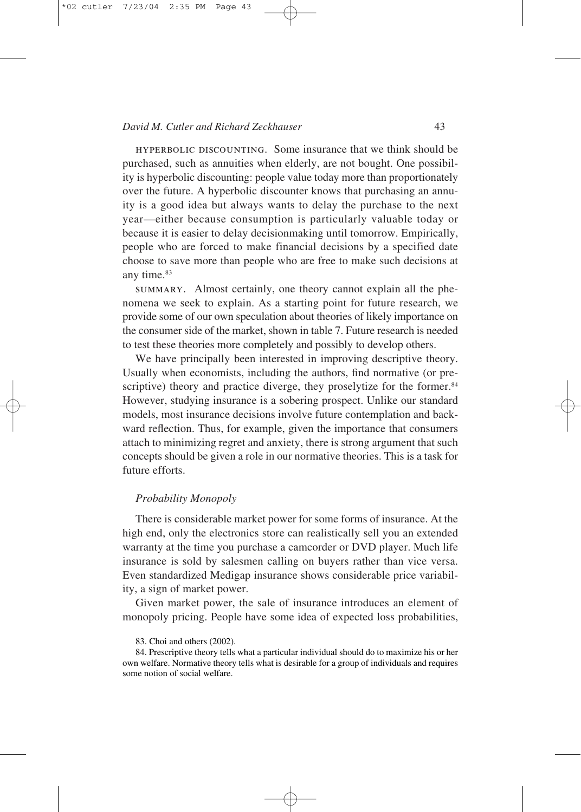#### *David M. Cutler and Richard Zeckhauser* 43

hyperbolic discounting. Some insurance that we think should be purchased, such as annuities when elderly, are not bought. One possibility is hyperbolic discounting: people value today more than proportionately over the future. A hyperbolic discounter knows that purchasing an annuity is a good idea but always wants to delay the purchase to the next year—either because consumption is particularly valuable today or because it is easier to delay decisionmaking until tomorrow. Empirically, people who are forced to make financial decisions by a specified date choose to save more than people who are free to make such decisions at any time.<sup>83</sup>

summary. Almost certainly, one theory cannot explain all the phenomena we seek to explain. As a starting point for future research, we provide some of our own speculation about theories of likely importance on the consumer side of the market, shown in table 7. Future research is needed to test these theories more completely and possibly to develop others.

We have principally been interested in improving descriptive theory. Usually when economists, including the authors, find normative (or prescriptive) theory and practice diverge, they proselytize for the former.<sup>84</sup> However, studying insurance is a sobering prospect. Unlike our standard models, most insurance decisions involve future contemplation and backward reflection. Thus, for example, given the importance that consumers attach to minimizing regret and anxiety, there is strong argument that such concepts should be given a role in our normative theories. This is a task for future efforts.

#### *Probability Monopoly*

There is considerable market power for some forms of insurance. At the high end, only the electronics store can realistically sell you an extended warranty at the time you purchase a camcorder or DVD player. Much life insurance is sold by salesmen calling on buyers rather than vice versa. Even standardized Medigap insurance shows considerable price variability, a sign of market power.

Given market power, the sale of insurance introduces an element of monopoly pricing. People have some idea of expected loss probabilities,

<sup>83.</sup> Choi and others (2002).

<sup>84.</sup> Prescriptive theory tells what a particular individual should do to maximize his or her own welfare. Normative theory tells what is desirable for a group of individuals and requires some notion of social welfare.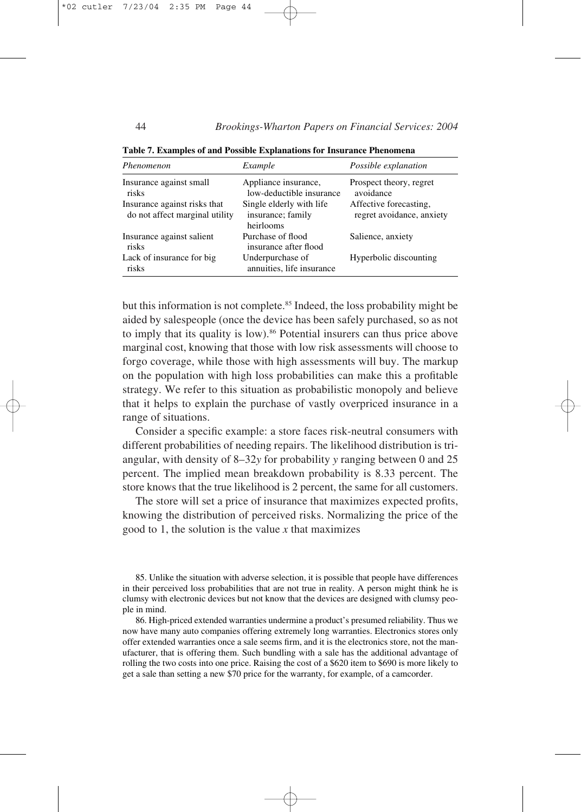| Phenomenon                                                     | Example                                                    | Possible explanation                                |
|----------------------------------------------------------------|------------------------------------------------------------|-----------------------------------------------------|
| Insurance against small<br><b>risks</b>                        | Appliance insurance,<br>low-deductible insurance           | Prospect theory, regret<br>avoidance                |
| Insurance against risks that<br>do not affect marginal utility | Single elderly with life<br>insurance; family<br>heirlooms | Affective forecasting.<br>regret avoidance, anxiety |
| Insurance against salient<br><b>risks</b>                      | Purchase of flood<br>insurance after flood                 | Salience, anxiety                                   |
| Lack of insurance for big<br>risks                             | Underpurchase of<br>annuities, life insurance              | Hyperbolic discounting                              |

**Table 7. Examples of and Possible Explanations for Insurance Phenomena** 

but this information is not complete.<sup>85</sup> Indeed, the loss probability might be aided by salespeople (once the device has been safely purchased, so as not to imply that its quality is low).<sup>86</sup> Potential insurers can thus price above marginal cost, knowing that those with low risk assessments will choose to forgo coverage, while those with high assessments will buy. The markup on the population with high loss probabilities can make this a profitable strategy. We refer to this situation as probabilistic monopoly and believe that it helps to explain the purchase of vastly overpriced insurance in a range of situations.

Consider a specific example: a store faces risk-neutral consumers with different probabilities of needing repairs. The likelihood distribution is triangular, with density of 8–32*y* for probability *y* ranging between 0 and 25 percent. The implied mean breakdown probability is 8.33 percent. The store knows that the true likelihood is 2 percent, the same for all customers.

The store will set a price of insurance that maximizes expected profits, knowing the distribution of perceived risks. Normalizing the price of the good to 1, the solution is the value *x* that maximizes

85. Unlike the situation with adverse selection, it is possible that people have differences in their perceived loss probabilities that are not true in reality. A person might think he is clumsy with electronic devices but not know that the devices are designed with clumsy people in mind.

86. High-priced extended warranties undermine a product's presumed reliability. Thus we now have many auto companies offering extremely long warranties. Electronics stores only offer extended warranties once a sale seems firm, and it is the electronics store, not the manufacturer, that is offering them. Such bundling with a sale has the additional advantage of rolling the two costs into one price. Raising the cost of a \$620 item to \$690 is more likely to get a sale than setting a new \$70 price for the warranty, for example, of a camcorder.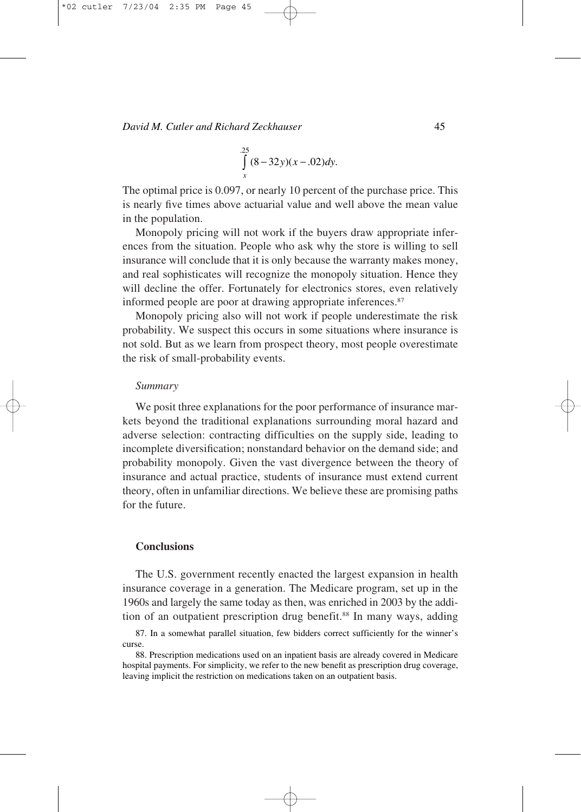$$
\int_{x}^{.25} (8-32y)(x-.02)dy.
$$

The optimal price is 0.097, or nearly 10 percent of the purchase price. This is nearly five times above actuarial value and well above the mean value in the population.

Monopoly pricing will not work if the buyers draw appropriate inferences from the situation. People who ask why the store is willing to sell insurance will conclude that it is only because the warranty makes money, and real sophisticates will recognize the monopoly situation. Hence they will decline the offer. Fortunately for electronics stores, even relatively informed people are poor at drawing appropriate inferences.<sup>87</sup>

Monopoly pricing also will not work if people underestimate the risk probability. We suspect this occurs in some situations where insurance is not sold. But as we learn from prospect theory, most people overestimate the risk of small-probability events.

#### *Summary*

We posit three explanations for the poor performance of insurance markets beyond the traditional explanations surrounding moral hazard and adverse selection: contracting difficulties on the supply side, leading to incomplete diversification; nonstandard behavior on the demand side; and probability monopoly. Given the vast divergence between the theory of insurance and actual practice, students of insurance must extend current theory, often in unfamiliar directions. We believe these are promising paths for the future.

#### **Conclusions**

The U.S. government recently enacted the largest expansion in health insurance coverage in a generation. The Medicare program, set up in the 1960s and largely the same today as then, was enriched in 2003 by the addition of an outpatient prescription drug benefit.<sup>88</sup> In many ways, adding

87. In a somewhat parallel situation, few bidders correct sufficiently for the winner's curse.

88. Prescription medications used on an inpatient basis are already covered in Medicare hospital payments. For simplicity, we refer to the new benefit as prescription drug coverage, leaving implicit the restriction on medications taken on an outpatient basis.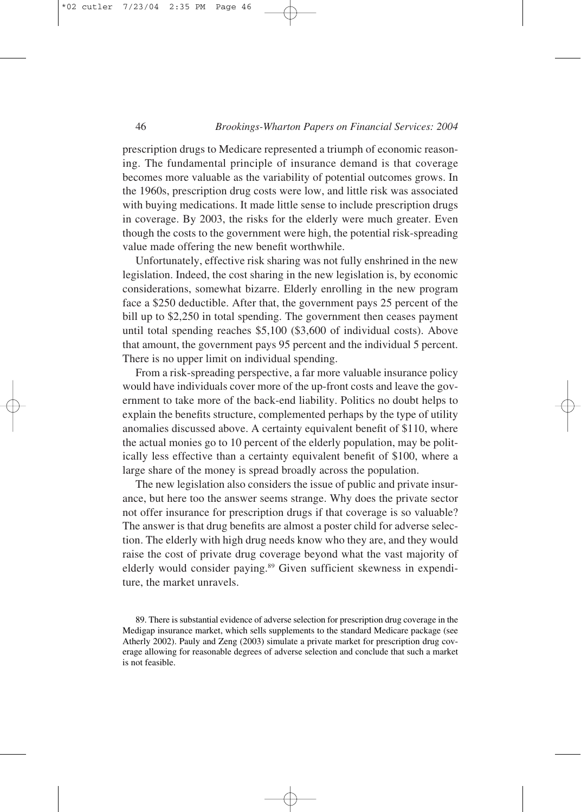prescription drugs to Medicare represented a triumph of economic reasoning. The fundamental principle of insurance demand is that coverage becomes more valuable as the variability of potential outcomes grows. In the 1960s, prescription drug costs were low, and little risk was associated with buying medications. It made little sense to include prescription drugs in coverage. By 2003, the risks for the elderly were much greater. Even though the costs to the government were high, the potential risk-spreading value made offering the new benefit worthwhile.

Unfortunately, effective risk sharing was not fully enshrined in the new legislation. Indeed, the cost sharing in the new legislation is, by economic considerations, somewhat bizarre. Elderly enrolling in the new program face a \$250 deductible. After that, the government pays 25 percent of the bill up to \$2,250 in total spending. The government then ceases payment until total spending reaches \$5,100 (\$3,600 of individual costs). Above that amount, the government pays 95 percent and the individual 5 percent. There is no upper limit on individual spending.

From a risk-spreading perspective, a far more valuable insurance policy would have individuals cover more of the up-front costs and leave the government to take more of the back-end liability. Politics no doubt helps to explain the benefits structure, complemented perhaps by the type of utility anomalies discussed above. A certainty equivalent benefit of \$110, where the actual monies go to 10 percent of the elderly population, may be politically less effective than a certainty equivalent benefit of \$100, where a large share of the money is spread broadly across the population.

The new legislation also considers the issue of public and private insurance, but here too the answer seems strange. Why does the private sector not offer insurance for prescription drugs if that coverage is so valuable? The answer is that drug benefits are almost a poster child for adverse selection. The elderly with high drug needs know who they are, and they would raise the cost of private drug coverage beyond what the vast majority of elderly would consider paying.<sup>89</sup> Given sufficient skewness in expenditure, the market unravels.

89. There is substantial evidence of adverse selection for prescription drug coverage in the Medigap insurance market, which sells supplements to the standard Medicare package (see Atherly 2002). Pauly and Zeng (2003) simulate a private market for prescription drug coverage allowing for reasonable degrees of adverse selection and conclude that such a market is not feasible.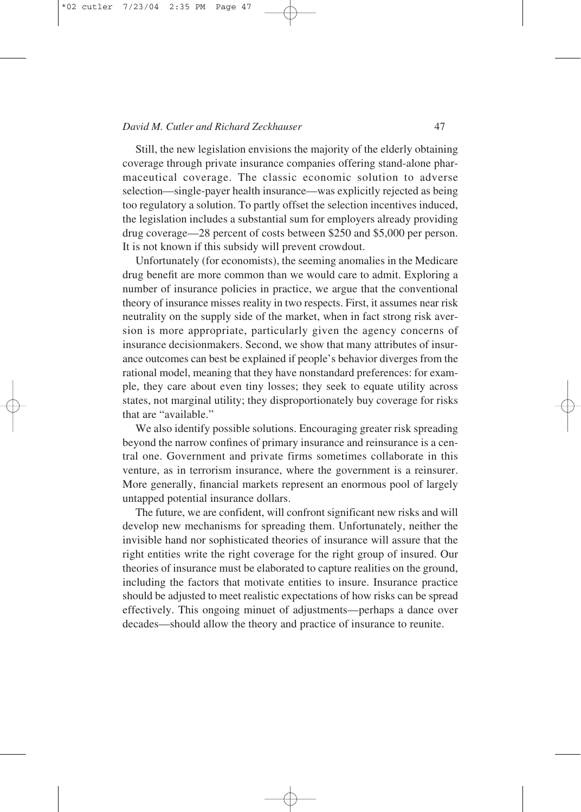#### *David M. Cutler and Richard Zeckhauser* 47

Still, the new legislation envisions the majority of the elderly obtaining coverage through private insurance companies offering stand-alone pharmaceutical coverage. The classic economic solution to adverse selection—single-payer health insurance—was explicitly rejected as being too regulatory a solution. To partly offset the selection incentives induced, the legislation includes a substantial sum for employers already providing drug coverage—28 percent of costs between \$250 and \$5,000 per person. It is not known if this subsidy will prevent crowdout.

Unfortunately (for economists), the seeming anomalies in the Medicare drug benefit are more common than we would care to admit. Exploring a number of insurance policies in practice, we argue that the conventional theory of insurance misses reality in two respects. First, it assumes near risk neutrality on the supply side of the market, when in fact strong risk aversion is more appropriate, particularly given the agency concerns of insurance decisionmakers. Second, we show that many attributes of insurance outcomes can best be explained if people's behavior diverges from the rational model, meaning that they have nonstandard preferences: for example, they care about even tiny losses; they seek to equate utility across states, not marginal utility; they disproportionately buy coverage for risks that are "available."

We also identify possible solutions. Encouraging greater risk spreading beyond the narrow confines of primary insurance and reinsurance is a central one. Government and private firms sometimes collaborate in this venture, as in terrorism insurance, where the government is a reinsurer. More generally, financial markets represent an enormous pool of largely untapped potential insurance dollars.

The future, we are confident, will confront significant new risks and will develop new mechanisms for spreading them. Unfortunately, neither the invisible hand nor sophisticated theories of insurance will assure that the right entities write the right coverage for the right group of insured. Our theories of insurance must be elaborated to capture realities on the ground, including the factors that motivate entities to insure. Insurance practice should be adjusted to meet realistic expectations of how risks can be spread effectively. This ongoing minuet of adjustments—perhaps a dance over decades—should allow the theory and practice of insurance to reunite.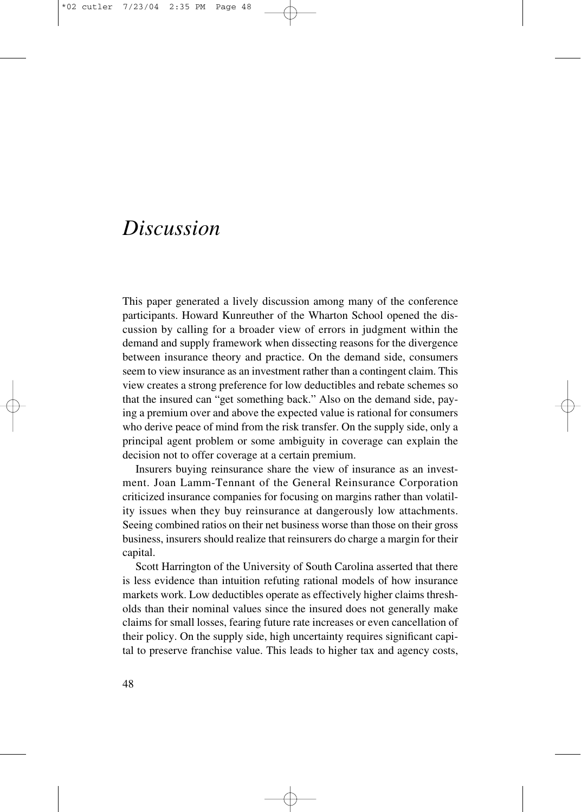### *Discussion*

This paper generated a lively discussion among many of the conference participants. Howard Kunreuther of the Wharton School opened the discussion by calling for a broader view of errors in judgment within the demand and supply framework when dissecting reasons for the divergence between insurance theory and practice. On the demand side, consumers seem to view insurance as an investment rather than a contingent claim. This view creates a strong preference for low deductibles and rebate schemes so that the insured can "get something back." Also on the demand side, paying a premium over and above the expected value is rational for consumers who derive peace of mind from the risk transfer. On the supply side, only a principal agent problem or some ambiguity in coverage can explain the decision not to offer coverage at a certain premium.

Insurers buying reinsurance share the view of insurance as an investment. Joan Lamm-Tennant of the General Reinsurance Corporation criticized insurance companies for focusing on margins rather than volatility issues when they buy reinsurance at dangerously low attachments. Seeing combined ratios on their net business worse than those on their gross business, insurers should realize that reinsurers do charge a margin for their capital.

Scott Harrington of the University of South Carolina asserted that there is less evidence than intuition refuting rational models of how insurance markets work. Low deductibles operate as effectively higher claims thresholds than their nominal values since the insured does not generally make claims for small losses, fearing future rate increases or even cancellation of their policy. On the supply side, high uncertainty requires significant capital to preserve franchise value. This leads to higher tax and agency costs,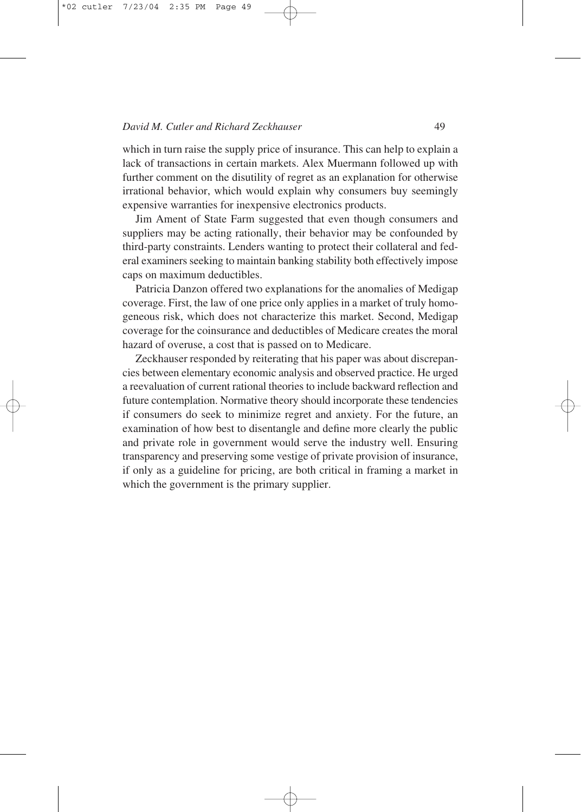which in turn raise the supply price of insurance. This can help to explain a lack of transactions in certain markets. Alex Muermann followed up with further comment on the disutility of regret as an explanation for otherwise irrational behavior, which would explain why consumers buy seemingly expensive warranties for inexpensive electronics products.

Jim Ament of State Farm suggested that even though consumers and suppliers may be acting rationally, their behavior may be confounded by third-party constraints. Lenders wanting to protect their collateral and federal examiners seeking to maintain banking stability both effectively impose caps on maximum deductibles.

Patricia Danzon offered two explanations for the anomalies of Medigap coverage. First, the law of one price only applies in a market of truly homogeneous risk, which does not characterize this market. Second, Medigap coverage for the coinsurance and deductibles of Medicare creates the moral hazard of overuse, a cost that is passed on to Medicare.

Zeckhauser responded by reiterating that his paper was about discrepancies between elementary economic analysis and observed practice. He urged a reevaluation of current rational theories to include backward reflection and future contemplation. Normative theory should incorporate these tendencies if consumers do seek to minimize regret and anxiety. For the future, an examination of how best to disentangle and define more clearly the public and private role in government would serve the industry well. Ensuring transparency and preserving some vestige of private provision of insurance, if only as a guideline for pricing, are both critical in framing a market in which the government is the primary supplier.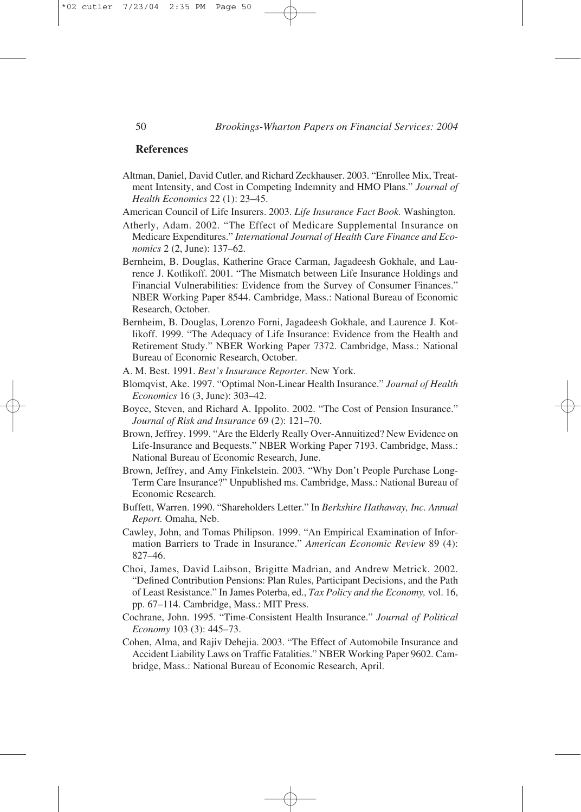#### **References**

- Altman, Daniel, David Cutler, and Richard Zeckhauser. 2003. "Enrollee Mix, Treatment Intensity, and Cost in Competing Indemnity and HMO Plans." *Journal of Health Economics* 22 (1): 23–45.
- American Council of Life Insurers. 2003. *Life Insurance Fact Book.* Washington.
- Atherly, Adam. 2002. "The Effect of Medicare Supplemental Insurance on Medicare Expenditures." *International Journal of Health Care Finance and Economics* 2 (2, June): 137–62.
- Bernheim, B. Douglas, Katherine Grace Carman, Jagadeesh Gokhale, and Laurence J. Kotlikoff. 2001. "The Mismatch between Life Insurance Holdings and Financial Vulnerabilities: Evidence from the Survey of Consumer Finances." NBER Working Paper 8544. Cambridge, Mass.: National Bureau of Economic Research, October.
- Bernheim, B. Douglas, Lorenzo Forni, Jagadeesh Gokhale, and Laurence J. Kotlikoff. 1999. "The Adequacy of Life Insurance: Evidence from the Health and Retirement Study." NBER Working Paper 7372. Cambridge, Mass.: National Bureau of Economic Research, October.
- A. M. Best. 1991. *Best's Insurance Reporter.* New York.
- Blomqvist, Ake. 1997. "Optimal Non-Linear Health Insurance." *Journal of Health Economics* 16 (3, June): 303–42.
- Boyce, Steven, and Richard A. Ippolito. 2002. "The Cost of Pension Insurance." *Journal of Risk and Insurance* 69 (2): 121–70.
- Brown, Jeffrey. 1999. "Are the Elderly Really Over-Annuitized? New Evidence on Life-Insurance and Bequests." NBER Working Paper 7193. Cambridge, Mass.: National Bureau of Economic Research, June.
- Brown, Jeffrey, and Amy Finkelstein. 2003. "Why Don't People Purchase Long-Term Care Insurance?" Unpublished ms. Cambridge, Mass.: National Bureau of Economic Research.
- Buffett, Warren. 1990. "Shareholders Letter." In *Berkshire Hathaway, Inc. Annual Report.* Omaha, Neb.
- Cawley, John, and Tomas Philipson. 1999. "An Empirical Examination of Information Barriers to Trade in Insurance." *American Economic Review* 89 (4): 827–46.
- Choi, James, David Laibson, Brigitte Madrian, and Andrew Metrick. 2002. "Defined Contribution Pensions: Plan Rules, Participant Decisions, and the Path of Least Resistance." In James Poterba, ed., *Tax Policy and the Economy,* vol. 16, pp. 67–114. Cambridge, Mass.: MIT Press.
- Cochrane, John. 1995. "Time-Consistent Health Insurance." *Journal of Political Economy* 103 (3): 445–73.
- Cohen, Alma, and Rajiv Dehejia. 2003. "The Effect of Automobile Insurance and Accident Liability Laws on Traffic Fatalities." NBER Working Paper 9602. Cambridge, Mass.: National Bureau of Economic Research, April.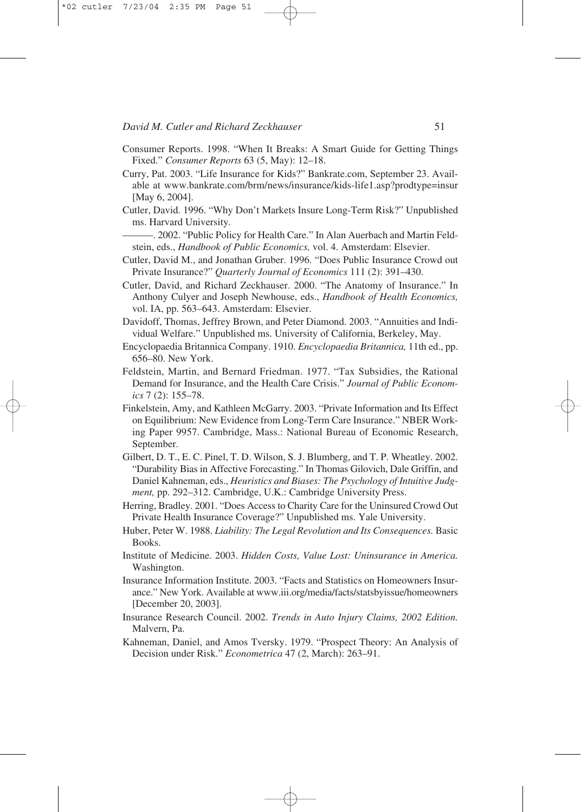- Consumer Reports. 1998. "When It Breaks: A Smart Guide for Getting Things Fixed." *Consumer Reports* 63 (5, May): 12–18.
- Curry, Pat. 2003. "Life Insurance for Kids?" Bankrate.com, September 23. Available at www.bankrate.com/brm/news/insurance/kids-life1.asp?prodtype=insur [May 6, 2004].
- Cutler, David. 1996. "Why Don't Markets Insure Long-Term Risk?" Unpublished ms. Harvard University.
- ———. 2002. "Public Policy for Health Care." In Alan Auerbach and Martin Feldstein, eds., *Handbook of Public Economics,* vol. 4. Amsterdam: Elsevier.
- Cutler, David M., and Jonathan Gruber. 1996. "Does Public Insurance Crowd out Private Insurance?" *Quarterly Journal of Economics* 111 (2): 391–430.
- Cutler, David, and Richard Zeckhauser. 2000. "The Anatomy of Insurance." In Anthony Culyer and Joseph Newhouse, eds., *Handbook of Health Economics,* vol. IA, pp. 563–643. Amsterdam: Elsevier.
- Davidoff, Thomas, Jeffrey Brown, and Peter Diamond. 2003. "Annuities and Individual Welfare." Unpublished ms. University of California, Berkeley, May.
- Encyclopaedia Britannica Company. 1910. *Encyclopaedia Britannica,* 11th ed., pp. 656–80. New York.
- Feldstein, Martin, and Bernard Friedman. 1977. "Tax Subsidies, the Rational Demand for Insurance, and the Health Care Crisis." *Journal of Public Economics* 7 (2): 155–78.
- Finkelstein, Amy, and Kathleen McGarry. 2003. "Private Information and Its Effect on Equilibrium: New Evidence from Long-Term Care Insurance." NBER Working Paper 9957. Cambridge, Mass.: National Bureau of Economic Research, September.
- Gilbert, D. T., E. C. Pinel, T. D. Wilson, S. J. Blumberg, and T. P. Wheatley. 2002. "Durability Bias in Affective Forecasting." In Thomas Gilovich, Dale Griffin, and Daniel Kahneman, eds., *Heuristics and Biases: The Psychology of Intuitive Judgment,* pp. 292–312. Cambridge, U.K.: Cambridge University Press.
- Herring, Bradley. 2001. "Does Access to Charity Care for the Uninsured Crowd Out Private Health Insurance Coverage?" Unpublished ms. Yale University.
- Huber, Peter W. 1988. *Liability: The Legal Revolution and Its Consequences.* Basic Books.
- Institute of Medicine. 2003. *Hidden Costs, Value Lost: Uninsurance in America.* Washington.
- Insurance Information Institute. 2003. "Facts and Statistics on Homeowners Insurance." New York. Available at www.iii.org/media/facts/statsbyissue/homeowners [December 20, 2003].
- Insurance Research Council. 2002. *Trends in Auto Injury Claims, 2002 Edition.* Malvern, Pa.
- Kahneman, Daniel, and Amos Tversky. 1979. "Prospect Theory: An Analysis of Decision under Risk." *Econometrica* 47 (2, March): 263–91.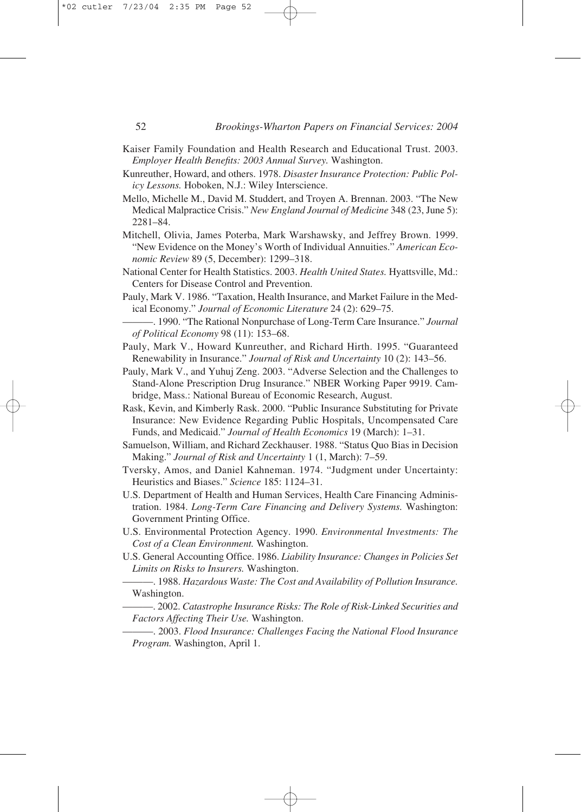- Kaiser Family Foundation and Health Research and Educational Trust. 2003. *Employer Health Benefits: 2003 Annual Survey.* Washington.
- Kunreuther, Howard, and others. 1978. *Disaster Insurance Protection: Public Policy Lessons.* Hoboken, N.J.: Wiley Interscience.
- Mello, Michelle M., David M. Studdert, and Troyen A. Brennan. 2003. "The New Medical Malpractice Crisis." *New England Journal of Medicine* 348 (23, June 5): 2281–84.
- Mitchell, Olivia, James Poterba, Mark Warshawsky, and Jeffrey Brown. 1999. "New Evidence on the Money's Worth of Individual Annuities." *American Economic Review* 89 (5, December): 1299–318.
- National Center for Health Statistics. 2003. *Health United States.* Hyattsville, Md.: Centers for Disease Control and Prevention.
- Pauly, Mark V. 1986. "Taxation, Health Insurance, and Market Failure in the Medical Economy." *Journal of Economic Literature* 24 (2): 629–75.
- ———. 1990. "The Rational Nonpurchase of Long-Term Care Insurance." *Journal of Political Economy* 98 (11): 153–68.
- Pauly, Mark V., Howard Kunreuther, and Richard Hirth. 1995. "Guaranteed Renewability in Insurance." *Journal of Risk and Uncertainty* 10 (2): 143–56.
- Pauly, Mark V., and Yuhuj Zeng. 2003. "Adverse Selection and the Challenges to Stand-Alone Prescription Drug Insurance." NBER Working Paper 9919. Cambridge, Mass.: National Bureau of Economic Research, August.
- Rask, Kevin, and Kimberly Rask. 2000. "Public Insurance Substituting for Private Insurance: New Evidence Regarding Public Hospitals, Uncompensated Care Funds, and Medicaid." *Journal of Health Economics* 19 (March): 1–31.
- Samuelson, William, and Richard Zeckhauser. 1988. "Status Quo Bias in Decision Making." *Journal of Risk and Uncertainty* 1 (1, March): 7–59.
- Tversky, Amos, and Daniel Kahneman. 1974. "Judgment under Uncertainty: Heuristics and Biases." *Science* 185: 1124–31.
- U.S. Department of Health and Human Services, Health Care Financing Administration. 1984. *Long-Term Care Financing and Delivery Systems.* Washington: Government Printing Office.
- U.S. Environmental Protection Agency. 1990. *Environmental Investments: The Cost of a Clean Environment.* Washington.
- U.S. General Accounting Office. 1986. *Liability Insurance: Changes in Policies Set Limits on Risks to Insurers.* Washington.
	- ———. 1988. *Hazardous Waste: The Cost and Availability of Pollution Insurance.* Washington.
	- ———. 2002. *Catastrophe Insurance Risks: The Role of Risk-Linked Securities and Factors Affecting Their Use.* Washington.

———. 2003. *Flood Insurance: Challenges Facing the National Flood Insurance Program.* Washington, April 1.